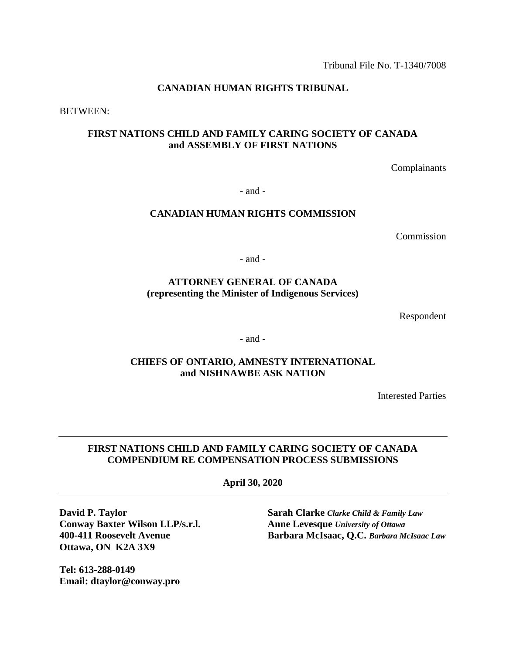Tribunal File No. T-1340/7008

## **CANADIAN HUMAN RIGHTS TRIBUNAL**

BETWEEN:

# **FIRST NATIONS CHILD AND FAMILY CARING SOCIETY OF CANADA and ASSEMBLY OF FIRST NATIONS**

Complainants

- and -

## **CANADIAN HUMAN RIGHTS COMMISSION**

Commission

- and -

## **ATTORNEY GENERAL OF CANADA (representing the Minister of Indigenous Services)**

Respondent

- and -

## **CHIEFS OF ONTARIO, AMNESTY INTERNATIONAL and NISHNAWBE ASK NATION**

Interested Parties

## **FIRST NATIONS CHILD AND FAMILY CARING SOCIETY OF CANADA COMPENDIUM RE COMPENSATION PROCESS SUBMISSIONS**

**April 30, 2020**

**Conway Baxter Wilson LLP/s.r.l. Anne Levesque** *University of Ottawa* **Ottawa, ON K2A 3X9**

**Tel: 613-288-0149 Email: dtaylor@conway.pro**

**David P. Taylor Sarah Clarke** *Clarke Child & Family Law* **400-411 Roosevelt Avenue Barbara McIsaac, Q.C.** *Barbara McIsaac Law*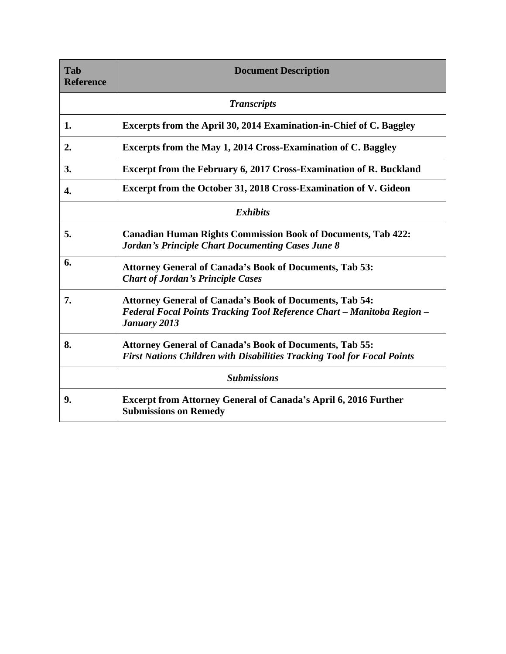| Tab<br><b>Reference</b> | <b>Document Description</b>                                                                                                                              |
|-------------------------|----------------------------------------------------------------------------------------------------------------------------------------------------------|
|                         | <b>Transcripts</b>                                                                                                                                       |
| 1.                      | Excerpts from the April 30, 2014 Examination-in-Chief of C. Baggley                                                                                      |
| 2.                      | Excerpts from the May 1, 2014 Cross-Examination of C. Baggley                                                                                            |
| 3.                      | <b>Excerpt from the February 6, 2017 Cross-Examination of R. Buckland</b>                                                                                |
| 4.                      | Excerpt from the October 31, 2018 Cross-Examination of V. Gideon                                                                                         |
|                         | <b>Exhibits</b>                                                                                                                                          |
| 5.                      | <b>Canadian Human Rights Commission Book of Documents, Tab 422:</b><br><b>Jordan's Principle Chart Documenting Cases June 8</b>                          |
| 6.                      | <b>Attorney General of Canada's Book of Documents, Tab 53:</b><br><b>Chart of Jordan's Principle Cases</b>                                               |
| 7.                      | <b>Attorney General of Canada's Book of Documents, Tab 54:</b><br>Federal Focal Points Tracking Tool Reference Chart - Manitoba Region -<br>January 2013 |
| 8.                      | <b>Attorney General of Canada's Book of Documents, Tab 55:</b><br><b>First Nations Children with Disabilities Tracking Tool for Focal Points</b>         |
|                         | <b>Submissions</b>                                                                                                                                       |
| 9.                      | <b>Excerpt from Attorney General of Canada's April 6, 2016 Further</b><br><b>Submissions on Remedy</b>                                                   |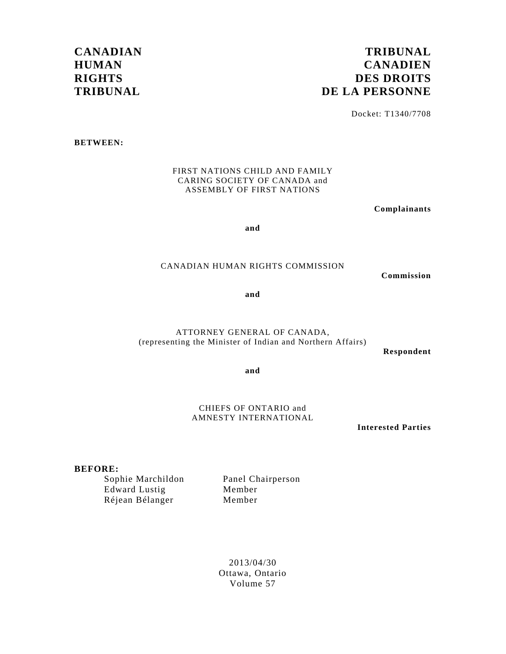# **CANADIAN HUMAN RIGHTS TRIBUNAL**

# **TRIBUNAL CANADIEN DES DROITS DE LA PERSONNE**

Docket: T1340/7708

**BETWEEN:** 

FIRST NATIONS CHILD AND FAMILY CARING SOCIETY OF CANADA and ASSEMBLY OF FIRST NATIONS

**Complainants** 

**and** 

### CANADIAN HUMAN RIGHTS COMMISSION

**Commission** 

**and** 

ATTORNEY GENERAL OF CANADA, (representing the Minister of Indian and Northern Affairs)

**Respondent** 

**and** 

CHIEFS OF ONTARIO and AMNESTY INTERNATIONAL

**Interested Parties** 

### **BEFORE:**

 Edward Lustig Member Réjean Bélanger Member

Sophie Marchildon Panel Chairperson

2013/04/30 Ottawa, Ontario Volume 57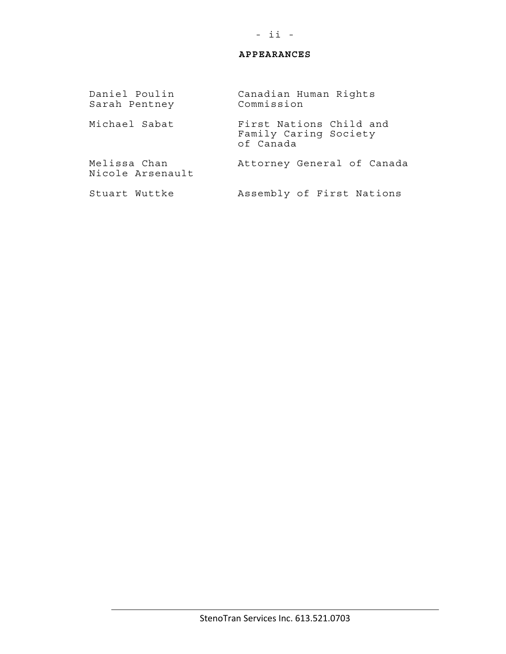## **APPEARANCES**

Daniel Poulin Canadian Human Rights<br>Sarah Pentney Commission Sarah Pentney Michael Sabat **First Nations Child and**  Family Caring Society of Canada Melissa Chan Attorney General of Canada Nicole Arsenault Stuart Wuttke Assembly of First Nations

## - ii -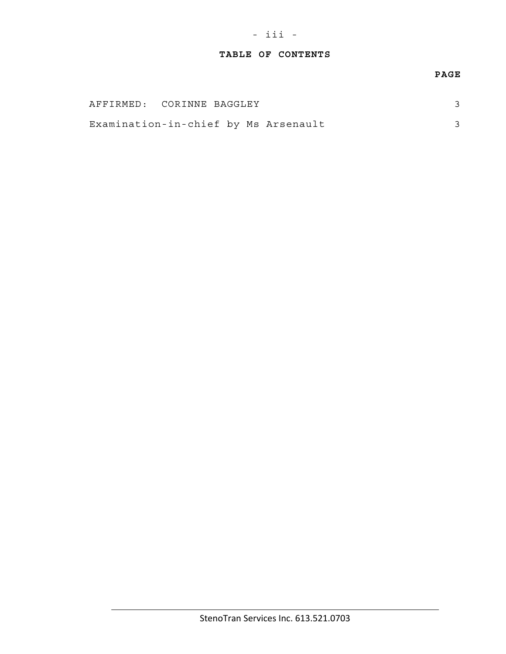# **TABLE OF CONTENTS**

## **PAGE**

| AFFIRMED: CORINNE BAGGLEY            |  |  |  |
|--------------------------------------|--|--|--|
| Examination-in-chief by Ms Arsenault |  |  |  |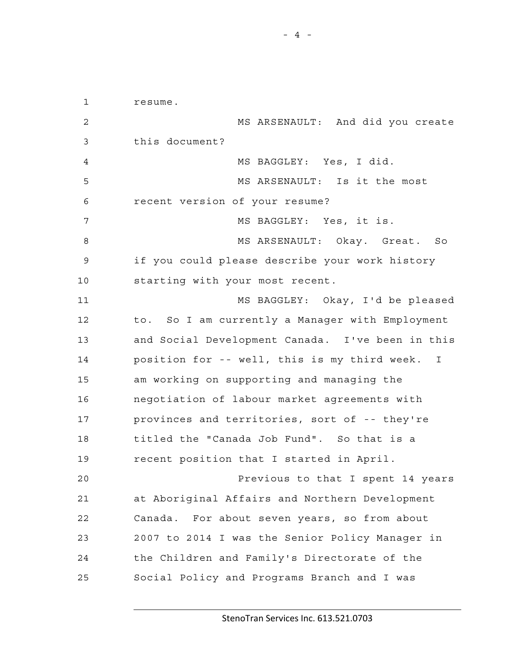1 resume. 2 MS ARSENAULT: And did you create 3 this document? 4 MS BAGGLEY: Yes, I did. 5 MS ARSENAULT: Is it the most 6 recent version of your resume? 7 MS BAGGLEY: Yes, it is. 8 MS ARSENAULT: Okay. Great. So 9 if you could please describe your work history 10 starting with your most recent. 11 MS BAGGLEY: Okay, I'd be pleased 12 to. So I am currently a Manager with Employment 13 and Social Development Canada. I've been in this 14 position for -- well, this is my third week. I 15 am working on supporting and managing the 16 negotiation of labour market agreements with 17 provinces and territories, sort of -- they're 18 titled the "Canada Job Fund". So that is a 19 recent position that I started in April. 20 Previous to that I spent 14 years 21 at Aboriginal Affairs and Northern Development 22 Canada. For about seven years, so from about 23 2007 to 2014 I was the Senior Policy Manager in 24 the Children and Family's Directorate of the 25 Social Policy and Programs Branch and I was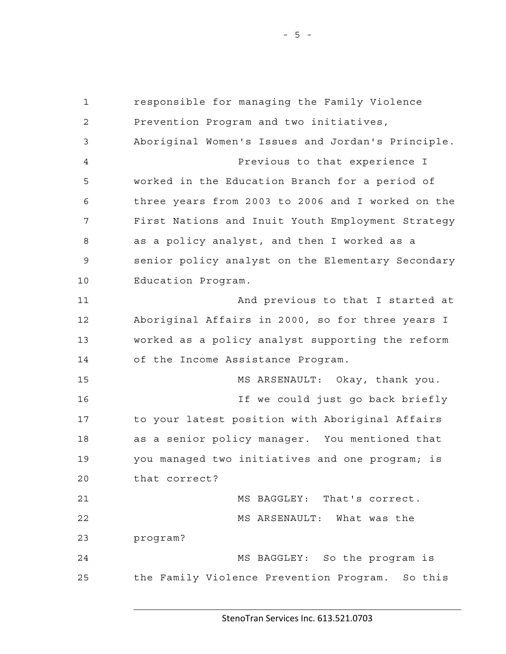1 responsible for managing the Family Violence 2 Prevention Program and two initiatives, 3 Aboriginal Women's Issues and Jordan's Principle. 4 Previous to that experience I 5 worked in the Education Branch for a period of 6 three years from 2003 to 2006 and I worked on the 7 First Nations and Inuit Youth Employment Strategy 8 as a policy analyst, and then I worked as a 9 senior policy analyst on the Elementary Secondary 10 Education Program. 11 And previous to that I started at 12 Aboriginal Affairs in 2000, so for three years I 13 worked as a policy analyst supporting the reform 14 of the Income Assistance Program. 15 MS ARSENAULT: Okay, thank you. 16 If we could just go back briefly 17 to your latest position with Aboriginal Affairs 18 as a senior policy manager. You mentioned that 19 you managed two initiatives and one program; is 20 that correct? 21 MS BAGGLEY: That's correct. 22 MS ARSENAULT: What was the 23 program? 24 MS BAGGLEY: So the program is 25 the Family Violence Prevention Program. So this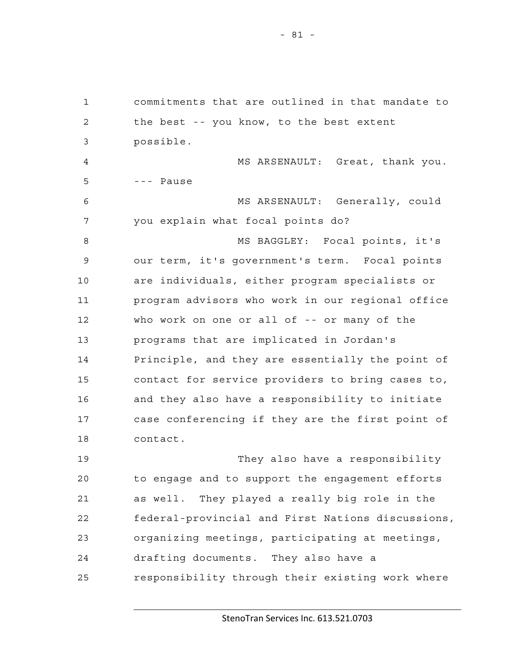1 commitments that are outlined in that mandate to 2 the best -- you know, to the best extent 3 possible. 4 MS ARSENAULT: Great, thank you. 5 --- Pause 6 MS ARSENAULT: Generally, could 7 you explain what focal points do? 8 MS BAGGLEY: Focal points, it's 9 our term, it's government's term. Focal points 10 are individuals, either program specialists or 11 program advisors who work in our regional office 12 who work on one or all of -- or many of the 13 programs that are implicated in Jordan's 14 Principle, and they are essentially the point of 15 contact for service providers to bring cases to, 16 and they also have a responsibility to initiate 17 case conferencing if they are the first point of 18 contact.

19 They also have a responsibility 20 to engage and to support the engagement efforts 21 as well. They played a really big role in the 22 federal-provincial and First Nations discussions, 23 organizing meetings, participating at meetings, 24 drafting documents. They also have a 25 responsibility through their existing work where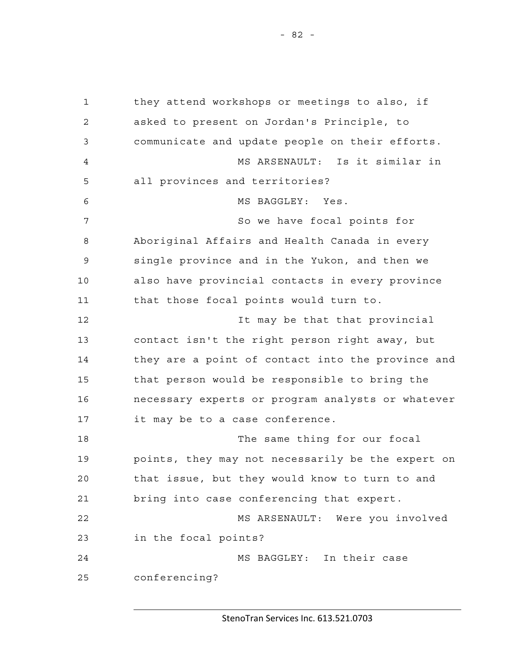1 they attend workshops or meetings to also, if 2 asked to present on Jordan's Principle, to 3 communicate and update people on their efforts. 4 MS ARSENAULT: Is it similar in 5 all provinces and territories? 6 MS BAGGLEY: Yes. 7 So we have focal points for 8 Aboriginal Affairs and Health Canada in every 9 single province and in the Yukon, and then we 10 also have provincial contacts in every province 11 that those focal points would turn to. 12 It may be that that provincial 13 contact isn't the right person right away, but 14 they are a point of contact into the province and 15 that person would be responsible to bring the 16 necessary experts or program analysts or whatever 17 it may be to a case conference. 18 The same thing for our focal 19 points, they may not necessarily be the expert on 20 that issue, but they would know to turn to and 21 bring into case conferencing that expert. 22 MS ARSENAULT: Were you involved 23 in the focal points? 24 MS BAGGLEY: In their case 25 conferencing?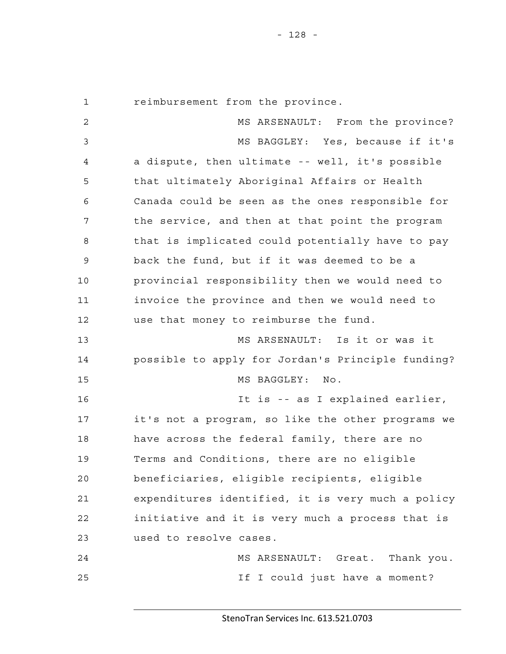1 reimbursement from the province.

2 MS ARSENAULT: From the province? 3 MS BAGGLEY: Yes, because if it's 4 a dispute, then ultimate -- well, it's possible 5 that ultimately Aboriginal Affairs or Health 6 Canada could be seen as the ones responsible for 7 the service, and then at that point the program 8 that is implicated could potentially have to pay 9 back the fund, but if it was deemed to be a 10 provincial responsibility then we would need to 11 invoice the province and then we would need to 12 use that money to reimburse the fund. 13 MS ARSENAULT: Is it or was it 14 possible to apply for Jordan's Principle funding? 15 MS BAGGLEY: No. 16 It is -- as I explained earlier, 17 it's not a program, so like the other programs we 18 have across the federal family, there are no 19 Terms and Conditions, there are no eligible 20 beneficiaries, eligible recipients, eligible 21 expenditures identified, it is very much a policy 22 initiative and it is very much a process that is 23 used to resolve cases. 24 MS ARSENAULT: Great. Thank you. 25 If I could just have a moment?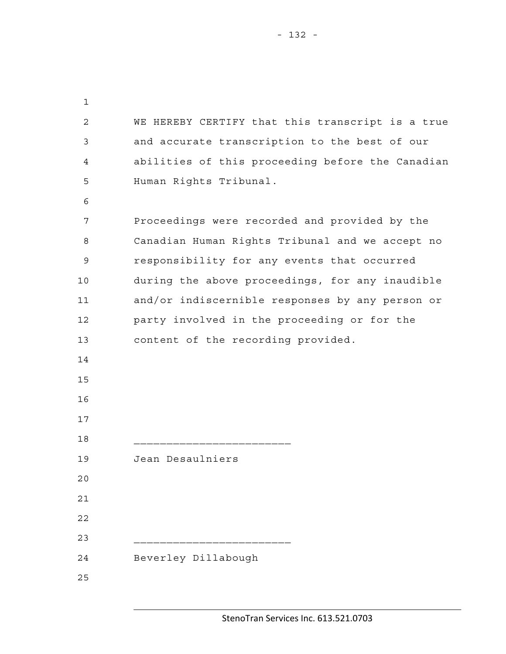1 2 WE HEREBY CERTIFY that this transcript is a true 3 and accurate transcription to the best of our 4 abilities of this proceeding before the Canadian 5 Human Rights Tribunal. 6 7 Proceedings were recorded and provided by the 8 Canadian Human Rights Tribunal and we accept no 9 responsibility for any events that occurred 10 during the above proceedings, for any inaudible 11 and/or indiscernible responses by any person or 12 party involved in the proceeding or for the 13 content of the recording provided. 14 15 16 17 18 \_\_\_\_\_\_\_\_\_\_\_\_\_\_\_\_\_\_\_\_\_\_\_\_ 19 Jean Desaulniers 20 21 22 23 \_\_\_\_\_\_\_\_\_\_\_\_\_\_\_\_\_\_\_\_\_\_\_\_ 24 Beverley Dillabough 25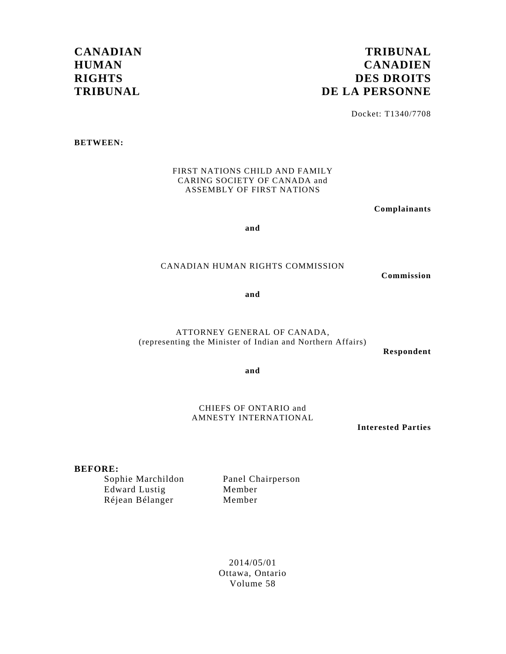# **CANADIAN HUMAN RIGHTS TRIBUNAL**

# **TRIBUNAL CANADIEN DES DROITS DE LA PERSONNE**

Docket: T1340/7708

**BETWEEN:** 

FIRST NATIONS CHILD AND FAMILY CARING SOCIETY OF CANADA and ASSEMBLY OF FIRST NATIONS

**Complainants** 

**and** 

### CANADIAN HUMAN RIGHTS COMMISSION

**Commission** 

**and** 

ATTORNEY GENERAL OF CANADA, (representing the Minister of Indian and Northern Affairs)

**Respondent** 

**and** 

CHIEFS OF ONTARIO and AMNESTY INTERNATIONAL

**Interested Parties** 

## **BEFORE:**

 Edward Lustig Member Réjean Bélanger Member

Sophie Marchildon Panel Chairperson

2014/05/01 Ottawa, Ontario Volume 58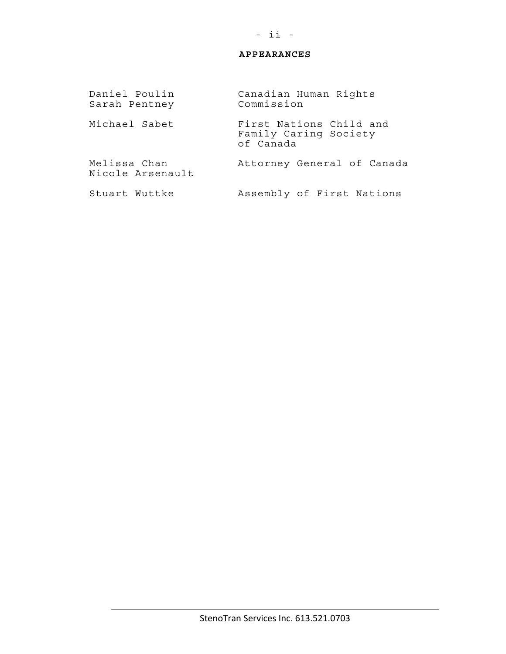## **APPEARANCES**

Daniel Poulin Canadian Human Rights<br>Sarah Pentney Commission Sarah Pentney Michael Sabet First Nations Child and Family Caring Society of Canada Melissa Chan Attorney General of Canada Nicole Arsenault Stuart Wuttke Assembly of First Nations

## - ii -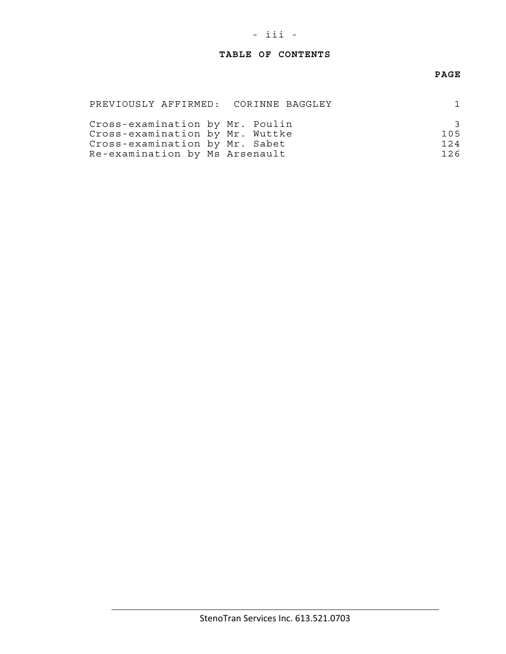# - iii -

## **TABLE OF CONTENTS**

## **PAGE**

| PREVIOUSLY AFFIRMED: CORINNE BAGGLEY |     |
|--------------------------------------|-----|
| Cross-examination by Mr. Poulin      |     |
| Cross-examination by Mr. Wuttke      | 105 |
| Cross-examination by Mr. Sabet       | 124 |
| Re-examination by Ms Arsenault       | 126 |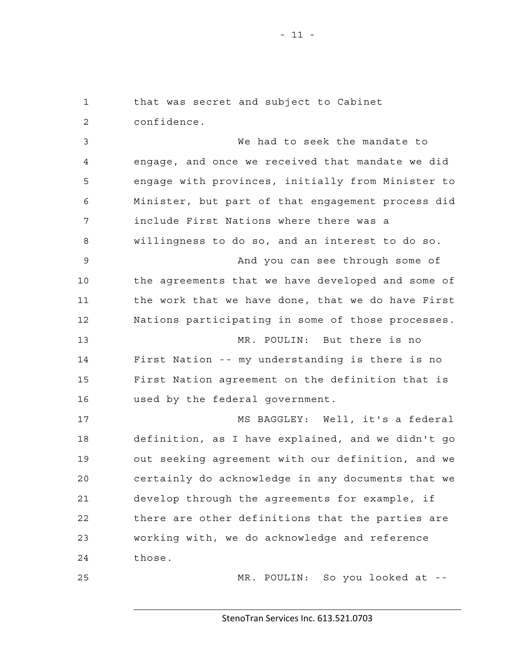1 that was secret and subject to Cabinet 2 confidence. 3 We had to seek the mandate to 4 engage, and once we received that mandate we did 5 engage with provinces, initially from Minister to 6 Minister, but part of that engagement process did 7 include First Nations where there was a 8 willingness to do so, and an interest to do so. 9 And you can see through some of 10 the agreements that we have developed and some of 11 the work that we have done, that we do have First 12 Nations participating in some of those processes. 13 MR. POULIN: But there is no 14 First Nation -- my understanding is there is no 15 First Nation agreement on the definition that is 16 used by the federal government. 17 MS BAGGLEY: Well, it's a federal 18 definition, as I have explained, and we didn't go 19 out seeking agreement with our definition, and we 20 certainly do acknowledge in any documents that we 21 develop through the agreements for example, if 22 there are other definitions that the parties are 23 working with, we do acknowledge and reference 24 those.

25 MR. POULIN: So you looked at --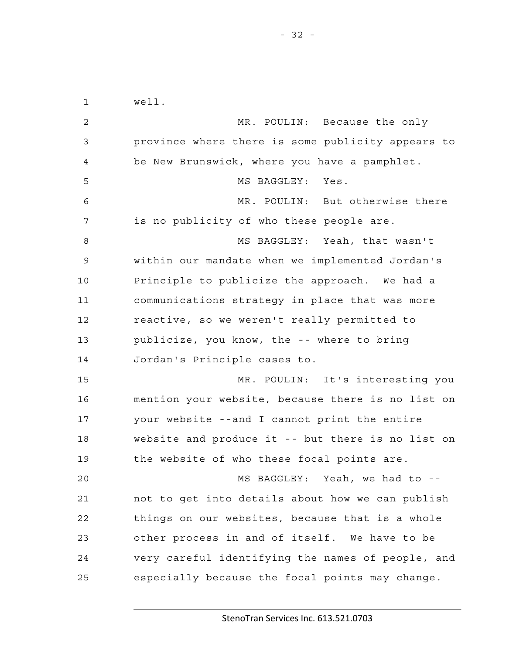1 well. 2 MR. POULIN: Because the only 3 province where there is some publicity appears to 4 be New Brunswick, where you have a pamphlet. 5 MS BAGGLEY: Yes. 6 MR. POULIN: But otherwise there 7 is no publicity of who these people are. 8 MS BAGGLEY: Yeah, that wasn't 9 within our mandate when we implemented Jordan's 10 Principle to publicize the approach. We had a 11 communications strategy in place that was more 12 reactive, so we weren't really permitted to 13 publicize, you know, the -- where to bring 14 Jordan's Principle cases to. 15 MR. POULIN: It's interesting you 16 mention your website, because there is no list on 17 your website --and I cannot print the entire 18 website and produce it -- but there is no list on 19 the website of who these focal points are. 20 MS BAGGLEY: Yeah, we had to -- 21 not to get into details about how we can publish 22 things on our websites, because that is a whole 23 other process in and of itself. We have to be 24 very careful identifying the names of people, and 25 especially because the focal points may change.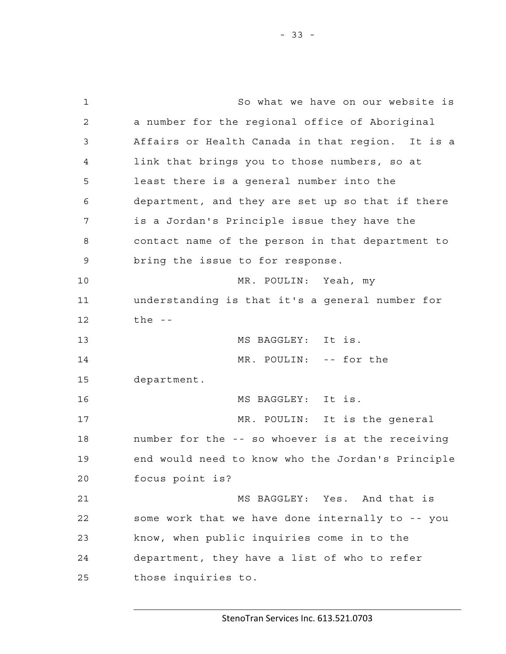1 So what we have on our website is 2 a number for the regional office of Aboriginal 3 Affairs or Health Canada in that region. It is a 4 link that brings you to those numbers, so at 5 least there is a general number into the 6 department, and they are set up so that if there 7 is a Jordan's Principle issue they have the 8 contact name of the person in that department to 9 bring the issue to for response. 10 MR. POULIN: Yeah, my 11 understanding is that it's a general number for 12 the -- 13 MS BAGGLEY: It is. 14 MR. POULIN: -- for the 15 department. 16 MS BAGGLEY: It is. 17 MR. POULIN: It is the general 18 number for the -- so whoever is at the receiving 19 end would need to know who the Jordan's Principle 20 focus point is? 21 MS BAGGLEY: Yes. And that is 22 some work that we have done internally to -- you 23 know, when public inquiries come in to the 24 department, they have a list of who to refer

25 those inquiries to.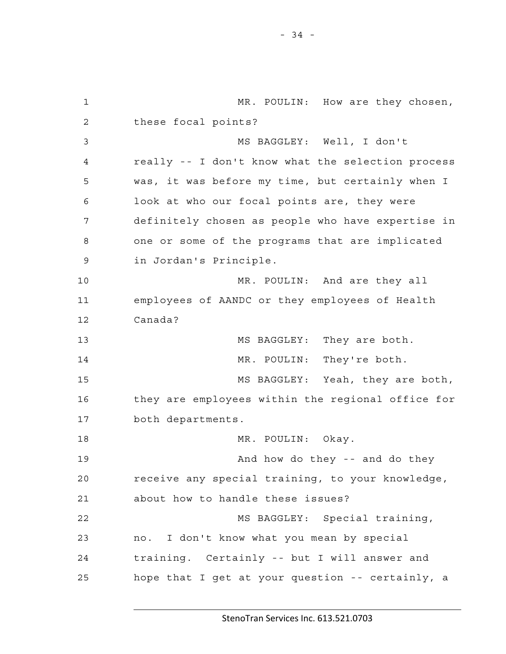1 MR. POULIN: How are they chosen, 2 these focal points? 3 MS BAGGLEY: Well, I don't 4 really -- I don't know what the selection process 5 was, it was before my time, but certainly when I 6 look at who our focal points are, they were 7 definitely chosen as people who have expertise in 8 one or some of the programs that are implicated 9 in Jordan's Principle. 10 MR. POULIN: And are they all 11 employees of AANDC or they employees of Health 12 Canada? 13 MS BAGGLEY: They are both. 14 MR. POULIN: They're both. 15 MS BAGGLEY: Yeah, they are both, 16 they are employees within the regional office for 17 both departments. 18 MR. POULIN: Okay. 19 And how do they -- and do they 20 receive any special training, to your knowledge, 21 about how to handle these issues? 22 MS BAGGLEY: Special training, 23 no. I don't know what you mean by special 24 training. Certainly -- but I will answer and 25 hope that I get at your question -- certainly, a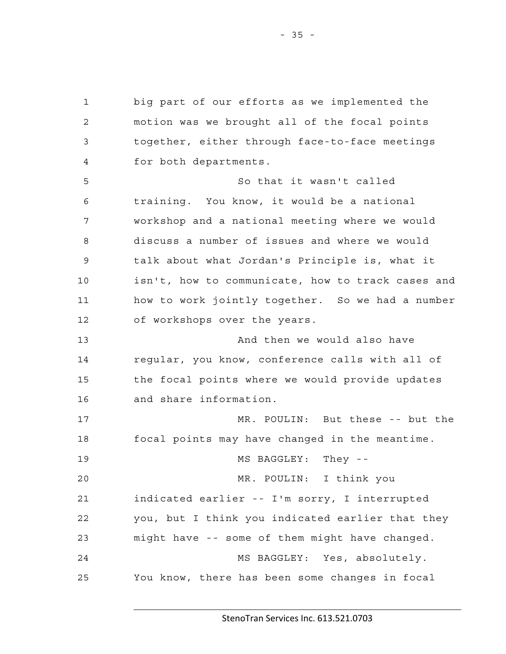1 big part of our efforts as we implemented the 2 motion was we brought all of the focal points 3 together, either through face-to-face meetings 4 for both departments. 5 So that it wasn't called 6 training. You know, it would be a national 7 workshop and a national meeting where we would 8 discuss a number of issues and where we would 9 talk about what Jordan's Principle is, what it 10 isn't, how to communicate, how to track cases and 11 how to work jointly together. So we had a number 12 of workshops over the years. 13 And then we would also have 14 regular, you know, conference calls with all of 15 the focal points where we would provide updates 16 and share information. 17 MR. POULIN: But these -- but the 18 focal points may have changed in the meantime. 19 MS BAGGLEY: They -- 20 MR. POULIN: I think you 21 indicated earlier -- I'm sorry, I interrupted 22 you, but I think you indicated earlier that they 23 might have -- some of them might have changed. 24 MS BAGGLEY: Yes, absolutely. 25 You know, there has been some changes in focal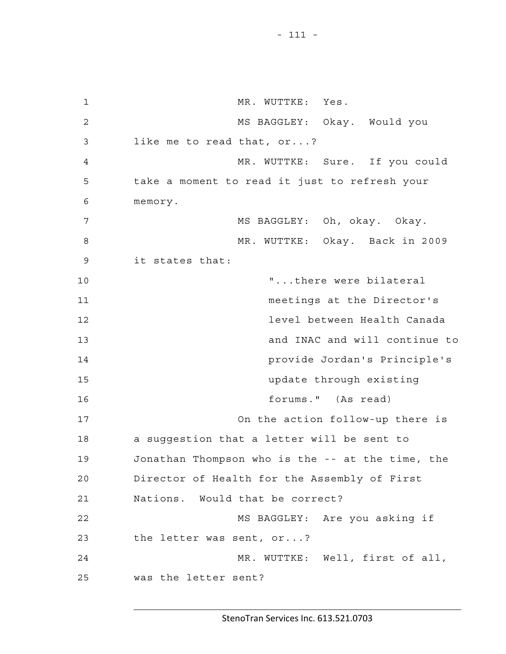- 111 -

1 MR. WUTTKE: Yes. 2 MS BAGGLEY: Okay. Would you 3 like me to read that, or...? 4 MR. WUTTKE: Sure. If you could 5 take a moment to read it just to refresh your 6 memory. 7 MS BAGGLEY: Oh, okay. Okay. 8 MR. WUTTKE: Okay. Back in 2009 9 it states that: 10 The state of  $\mathbb{I}$ ...there were bilateral 11 meetings at the Director's 12 level between Health Canada 13 and INAC and will continue to 14 provide Jordan's Principle's 15 update through existing 16 forums." (As read) 17 On the action follow-up there is 18 a suggestion that a letter will be sent to 19 Jonathan Thompson who is the -- at the time, the 20 Director of Health for the Assembly of First 21 Nations. Would that be correct? 22 MS BAGGLEY: Are you asking if 23 the letter was sent, or...? 24 MR. WUTTKE: Well, first of all, 25 was the letter sent?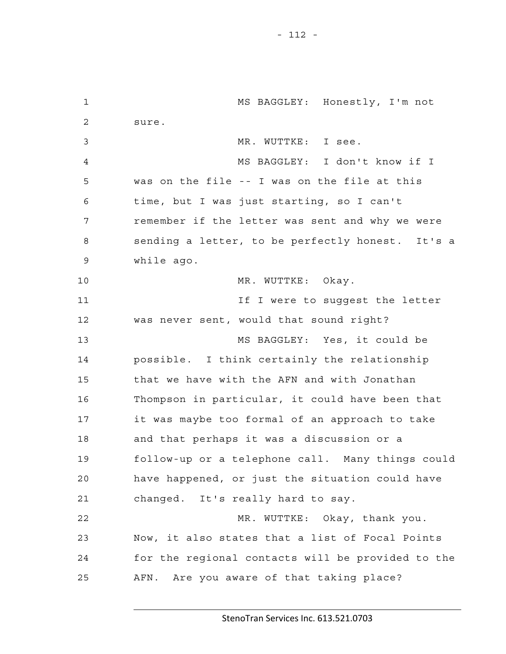- 112 -

1 MS BAGGLEY: Honestly, I'm not 2 sure. 3 MR. WUTTKE: I see. 4 MS BAGGLEY: I don't know if I 5 was on the file -- I was on the file at this 6 time, but I was just starting, so I can't 7 remember if the letter was sent and why we were 8 sending a letter, to be perfectly honest. It's a 9 while ago. 10 MR. WUTTKE: Okay. 11 **If I** were to suqqest the letter 12 was never sent, would that sound right? 13 MS BAGGLEY: Yes, it could be 14 possible. I think certainly the relationship 15 that we have with the AFN and with Jonathan 16 Thompson in particular, it could have been that 17 it was maybe too formal of an approach to take 18 and that perhaps it was a discussion or a 19 follow-up or a telephone call. Many things could 20 have happened, or just the situation could have 21 changed. It's really hard to say. 22 MR. WUTTKE: Okay, thank you. 23 Now, it also states that a list of Focal Points 24 for the regional contacts will be provided to the 25 AFN. Are you aware of that taking place?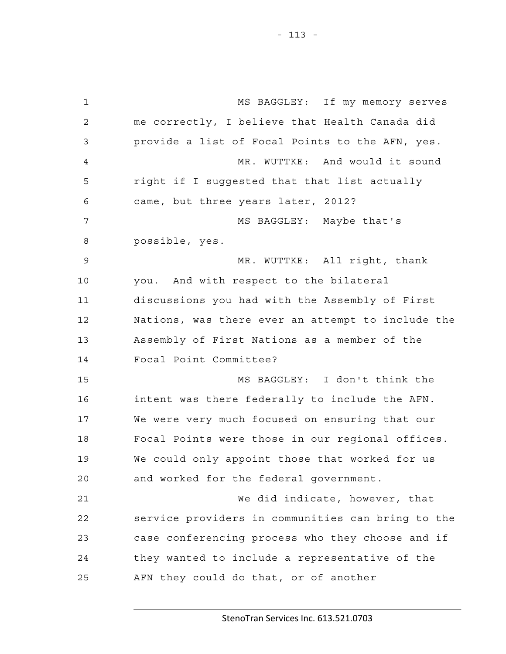1 MS BAGGLEY: If my memory serves 2 me correctly, I believe that Health Canada did 3 provide a list of Focal Points to the AFN, yes. 4 MR. WUTTKE: And would it sound 5 right if I suggested that that list actually 6 came, but three years later, 2012? 7 MS BAGGLEY: Maybe that's 8 possible, yes. 9 MR. WUTTKE: All right, thank 10 you. And with respect to the bilateral 11 discussions you had with the Assembly of First 12 Nations, was there ever an attempt to include the 13 Assembly of First Nations as a member of the 14 Focal Point Committee? 15 MS BAGGLEY: I don't think the 16 intent was there federally to include the AFN. 17 We were very much focused on ensuring that our 18 Focal Points were those in our regional offices. 19 We could only appoint those that worked for us 20 and worked for the federal government. 21 We did indicate, however, that 22 service providers in communities can bring to the 23 case conferencing process who they choose and if 24 they wanted to include a representative of the 25 AFN they could do that, or of another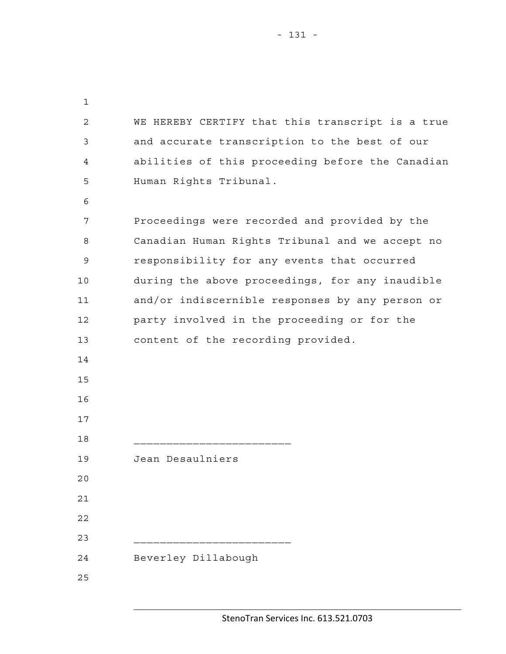1 2 WE HEREBY CERTIFY that this transcript is a true 3 and accurate transcription to the best of our 4 abilities of this proceeding before the Canadian 5 Human Rights Tribunal. 6 7 Proceedings were recorded and provided by the 8 Canadian Human Rights Tribunal and we accept no 9 responsibility for any events that occurred 10 during the above proceedings, for any inaudible 11 and/or indiscernible responses by any person or 12 party involved in the proceeding or for the 13 content of the recording provided. 14 15 16 17 18 \_\_\_\_\_\_\_\_\_\_\_\_\_\_\_\_\_\_\_\_\_\_\_\_ 19 Jean Desaulniers 20 21 22

24 Beverley Dillabough

23 \_\_\_\_\_\_\_\_\_\_\_\_\_\_\_\_\_\_\_\_\_\_\_\_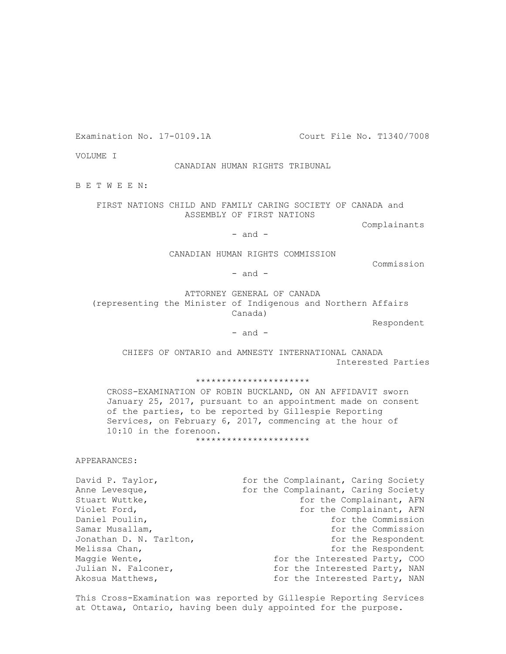Examination No. 17-0109.1A Court File No. T1340/7008

VOLUME I

#### CANADIAN HUMAN RIGHTS TRIBUNAL

B E T W E E N:

 FIRST NATIONS CHILD AND FAMILY CARING SOCIETY OF CANADA and ASSEMBLY OF FIRST NATIONS

Complainants

 $-$  and  $-$ 

CANADIAN HUMAN RIGHTS COMMISSION

Commission

- and -

 ATTORNEY GENERAL OF CANADA (representing the Minister of Indigenous and Northern Affairs Canada)

Respondent

 $-$  and  $-$ 

 CHIEFS OF ONTARIO and AMNESTY INTERNATIONAL CANADA Interested Parties

\*\*\*\*\*\*\*\*\*\*\*\*\*\*\*\*\*\*\*\*\*\*

 CROSS-EXAMINATION OF ROBIN BUCKLAND, ON AN AFFIDAVIT sworn January 25, 2017, pursuant to an appointment made on consent of the parties, to be reported by Gillespie Reporting Services, on February 6, 2017, commencing at the hour of 10:10 in the forenoon.

\*\*\*\*\*\*\*\*\*\*\*\*\*\*\*\*\*\*\*\*\*\*

APPEARANCES:

Stuart Wuttke,  $\begin{array}{ccc} \text{Stuar} & \text{for the Complainant, AFN} \end{array}$ Violet Ford,  $\overline{f}$  and  $\overline{f}$  for the Complainant, AFN Daniel Poulin, the Commission of the Commission Samar Musallam, samar Musallam, the Commission Jonathan D. N. Tarlton, The Respondent Controller and the Respondent Melissa Chan, the Respondent of the Respondent of the Respondent Maggie Wente,  $\qquad \qquad$  for the Interested Party, COO Julian N. Falconer,  $\overline{f}$  for the Interested Party, NAN

David P. Taylor,<br>
Anne Levesque,<br>
for the Complainant, Caring Society<br>
for the Complainant, Caring Society for the Complainant, Caring Society Akosua Matthews,  $f(x) = f(x)$  for the Interested Party, NAN

 This Cross-Examination was reported by Gillespie Reporting Services at Ottawa, Ontario, having been duly appointed for the purpose.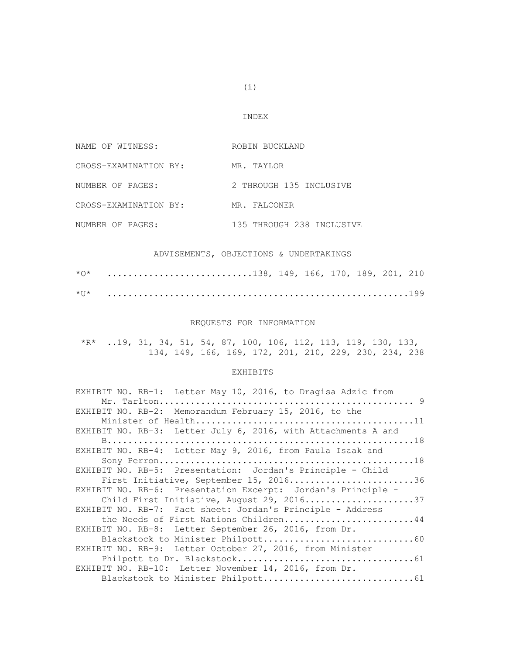#### INDEX

| NAME OF WITNESS:      | ROBIN BUCKLAND            |
|-----------------------|---------------------------|
| CROSS-EXAMINATION BY: | MR. TAYLOR                |
| NUMBER OF PAGES:      | 2 THROUGH 135 INCLUSIVE   |
| CROSS-EXAMINATION BY: | MR. FALCONER              |
| NUMBER OF PAGES:      | 135 THROUGH 238 INCLUSIVE |

## ADVISEMENTS, OBJECTIONS & UNDERTAKINGS

| 138, 149, 166, 170, 189, 201, 210 |  |  |  |  |
|-----------------------------------|--|--|--|--|
|                                   |  |  |  |  |

#### REQUESTS FOR INFORMATION

 \*R\* ..19, 31, 34, 51, 54, 87, 100, 106, 112, 113, 119, 130, 133, 134, 149, 166, 169, 172, 201, 210, 229, 230, 234, 238

#### EXHIBITS

| EXHIBIT NO. RB-1: Letter May 10, 2016, to Dragisa Adzic from  |
|---------------------------------------------------------------|
|                                                               |
| EXHIBIT NO. RB-2: Memorandum February 15, 2016, to the        |
|                                                               |
| EXHIBIT NO. RB-3: Letter July 6, 2016, with Attachments A and |
|                                                               |
| EXHIBIT NO. RB-4: Letter May 9, 2016, from Paula Isaak and    |
|                                                               |
| EXHIBIT NO. RB-5: Presentation: Jordan's Principle - Child    |
| First Initiative, September 15, 201636                        |
| EXHIBIT NO. RB-6: Presentation Excerpt: Jordan's Principle -  |
| Child First Initiative, August 29, 201637                     |
| EXHIBIT NO. RB-7: Fact sheet: Jordan's Principle - Address    |
| the Needs of First Nations Children44                         |
| EXHIBIT NO. RB-8: Letter September 26, 2016, from Dr.         |
|                                                               |
| EXHIBIT NO. RB-9: Letter October 27, 2016, from Minister      |
|                                                               |
| EXHIBIT NO. RB-10: Letter November 14, 2016, from Dr.         |
|                                                               |

 $(i)$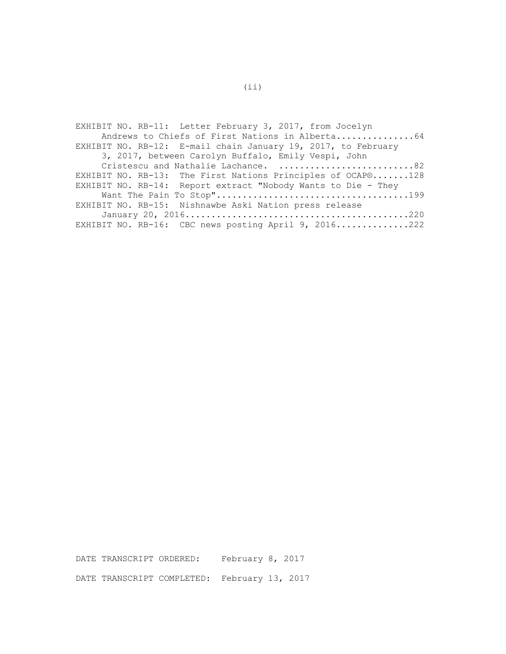| EXHIBIT NO. RB-11: Letter February 3, 2017, from Jocelyn      |
|---------------------------------------------------------------|
| Andrews to Chiefs of First Nations in Alberta64               |
| EXHIBIT NO. RB-12: E-mail chain January 19, 2017, to February |
| 3, 2017, between Carolyn Buffalo, Emily Vespi, John           |
| Cristescu and Nathalie Lachance. 82                           |
| EXHIBIT NO. RB-13: The First Nations Principles of OCAP®128   |
| EXHIBIT NO. RB-14: Report extract "Nobody Wants to Die - They |
|                                                               |
| EXHIBIT NO. RB-15: Nishnawbe Aski Nation press release        |
|                                                               |
| EXHIBIT NO. RB-16: CBC news posting April 9, 2016222          |

DATE TRANSCRIPT ORDERED: February 8, 2017 DATE TRANSCRIPT COMPLETED: February 13, 2017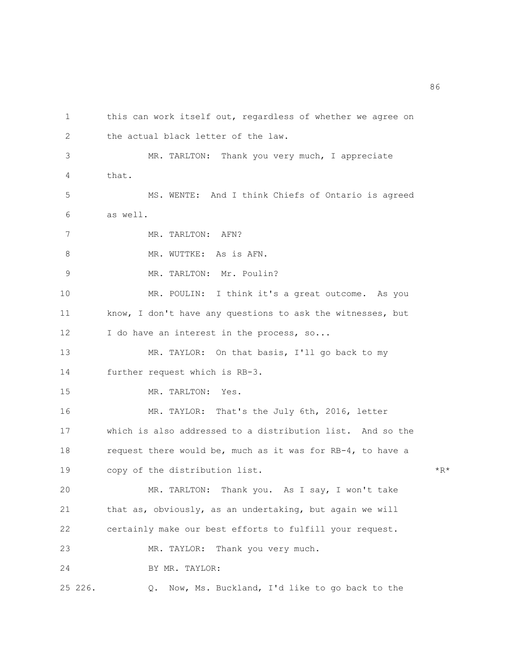1 this can work itself out, regardless of whether we agree on 2 the actual black letter of the law. 3 MR. TARLTON: Thank you very much, I appreciate 4 that. 5 MS. WENTE: And I think Chiefs of Ontario is agreed 6 as well. 7 MR. TARLTON: AFN? 8 MR. WUTTKE: As is AFN. 9 MR. TARLTON: Mr. Poulin? 10 MR. POULIN: I think it's a great outcome. As you 11 know, I don't have any questions to ask the witnesses, but 12 I do have an interest in the process, so... 13 MR. TAYLOR: On that basis, I'll go back to my 14 further request which is RB-3. 15 MR. TARLTON: Yes. 16 MR. TAYLOR: That's the July 6th, 2016, letter 17 which is also addressed to a distribution list. And so the 18 request there would be, much as it was for RB-4, to have a 19 copy of the distribution list. \*R\* 20 MR. TARLTON: Thank you. As I say, I won't take 21 that as, obviously, as an undertaking, but again we will 22 certainly make our best efforts to fulfill your request. 23 MR. TAYLOR: Thank you very much. 24 BY MR. TAYLOR:

25 226. Q. Now, Ms. Buckland, I'd like to go back to the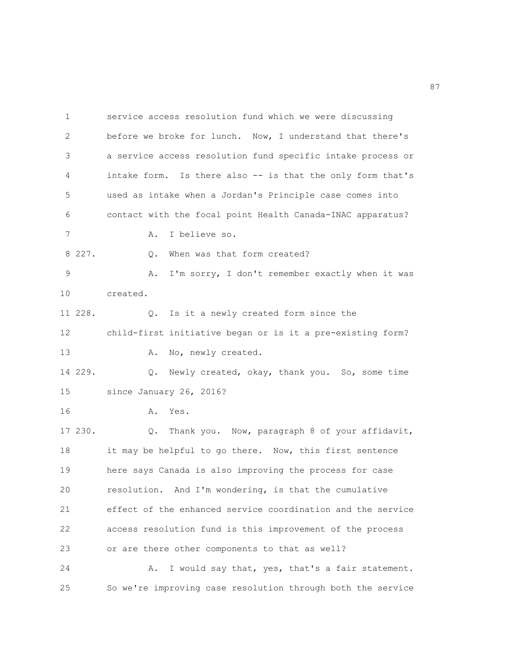1 service access resolution fund which we were discussing 2 before we broke for lunch. Now, I understand that there's 3 a service access resolution fund specific intake process or 4 intake form. Is there also -- is that the only form that's 5 used as intake when a Jordan's Principle case comes into 6 contact with the focal point Health Canada-INAC apparatus? 7 A. I believe so. 8 227.  $Q.$  When was that form created? 9 A. I'm sorry, I don't remember exactly when it was 10 created. 11 228. Q. Is it a newly created form since the 12 child-first initiative began or is it a pre-existing form? 13 A. No, newly created. 14 229. Q. Newly created, okay, thank you. So, some time 15 since January 26, 2016? 16 A. Yes. 17 230. Q. Thank you. Now, paragraph 8 of your affidavit, 18 it may be helpful to go there. Now, this first sentence 19 here says Canada is also improving the process for case 20 resolution. And I'm wondering, is that the cumulative 21 effect of the enhanced service coordination and the service 22 access resolution fund is this improvement of the process 23 or are there other components to that as well? 24 A. I would say that, yes, that's a fair statement. 25 So we're improving case resolution through both the service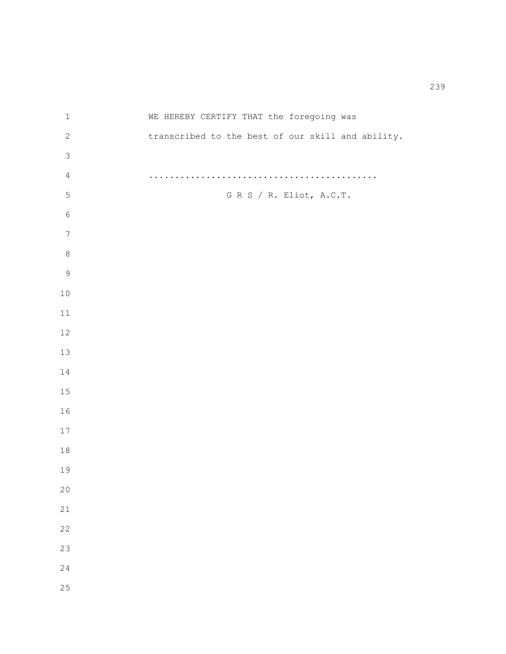1 WE HEREBY CERTIFY THAT the foregoing was 2 transcribed to the best of our skill and ability. 4 ............................................ 5 G R S / R. Eliot, A.C.T.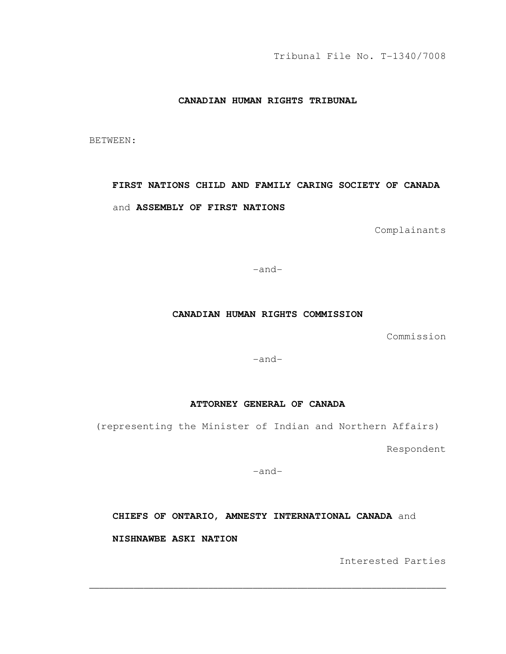Tribunal File No. T-1340/7008

## **CANADIAN HUMAN RIGHTS TRIBUNAL**

BETWEEN:

# **FIRST NATIONS CHILD AND FAMILY CARING SOCIETY OF CANADA**  and **ASSEMBLY OF FIRST NATIONS**

Complainants

-and-

### **CANADIAN HUMAN RIGHTS COMMISSION**

Commission

-and-

## **ATTORNEY GENERAL OF CANADA**

(representing the Minister of Indian and Northern Affairs)

Respondent

-and-

**CHIEFS OF ONTARIO, AMNESTY INTERNATIONAL CANADA** and

\_\_\_\_\_\_\_\_\_\_\_\_\_\_\_\_\_\_\_\_\_\_\_\_\_\_\_\_\_\_\_\_\_\_\_\_\_\_\_\_\_\_\_\_\_\_\_\_\_\_\_\_\_\_\_\_\_\_\_\_\_\_\_\_\_\_\_\_\_\_\_\_

**NISHNAWBE ASKI NATION** 

Interested Parties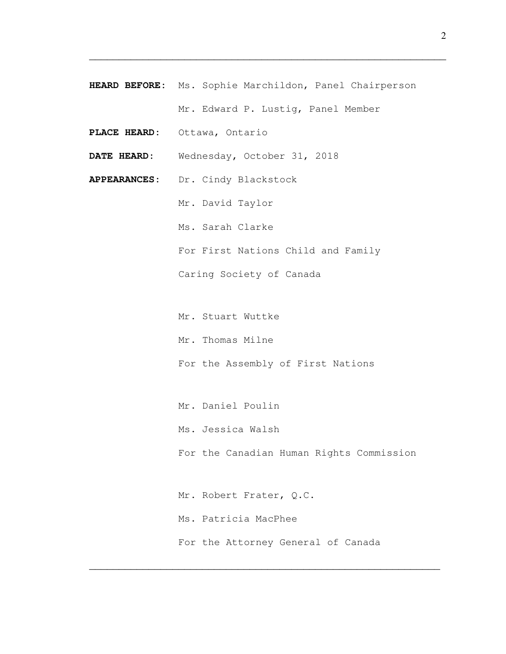**HEARD BEFORE:** Ms. Sophie Marchildon, Panel Chairperson Mr. Edward P. Lustig, Panel Member

 $\overline{\phantom{a}}$  , and the contract of the contract of the contract of the contract of the contract of the contract of the contract of the contract of the contract of the contract of the contract of the contract of the contrac

- PLACE HEARD: Ottawa, Ontario
- **DATE HEARD:** Wednesday**,** October 31, 2018
- **APPEARANCES:** Dr. Cindy Blackstock
	- Mr. David Taylor
	- Ms. Sarah Clarke
	- For First Nations Child and Family
	- Caring Society of Canada
	- Mr. Stuart Wuttke
	- Mr. Thomas Milne
	- For the Assembly of First Nations
	- Mr. Daniel Poulin
	- Ms. Jessica Walsh
	- For the Canadian Human Rights Commission
	- Mr. Robert Frater, Q.C. Ms. Patricia MacPhee For the Attorney General of Canada

 $\overline{\phantom{a}}$  , and the contract of the contract of the contract of the contract of the contract of the contract of the contract of the contract of the contract of the contract of the contract of the contract of the contrac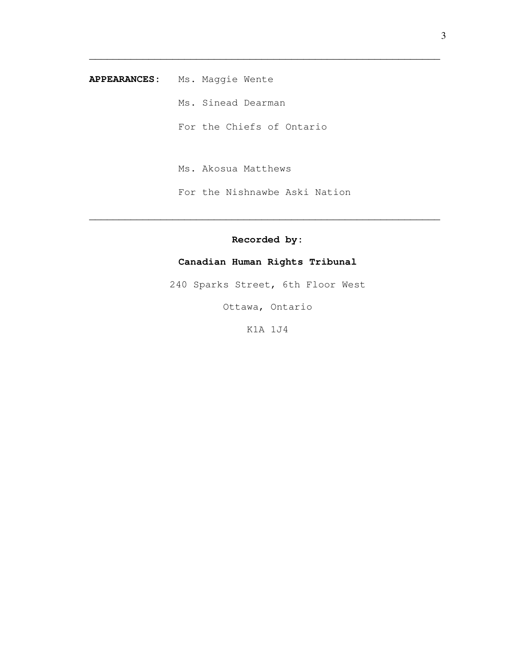**APPEARANCES:** Ms. Maggie Wente

Ms. Sinead Dearman

For the Chiefs of Ontario

 $\overline{\phantom{a}}$  , and the contribution of the contribution of the contribution of the contribution of the contribution of  $\overline{\phantom{a}}$ 

Ms. Akosua Matthews

For the Nishnawbe Aski Nation

# **Recorded by:**

 $\overline{\phantom{a}}$  , and the contract of the contract of the contract of the contract of the contract of the contract of the contract of the contract of the contract of the contract of the contract of the contract of the contrac

# **Canadian Human Rights Tribunal**

240 Sparks Street, 6th Floor West

Ottawa, Ontario

K1A 1J4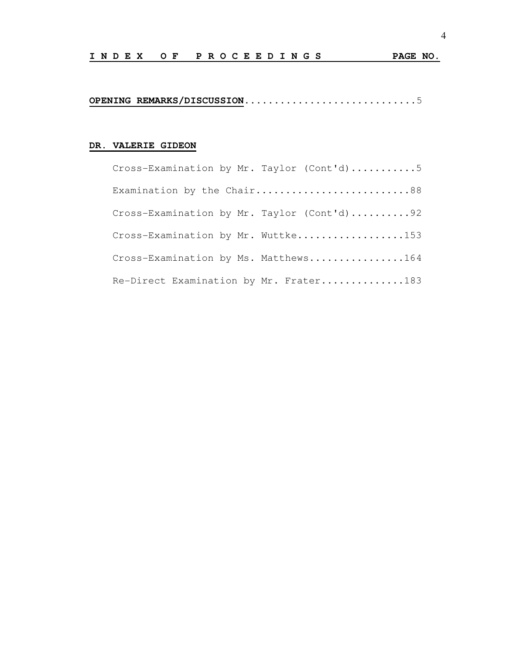**OPENING REMARKS/DISCUSSION...........................**..5

## **DR. VALERIE GIDEON**

| Cross-Examination by Mr. Taylor (Cont'd)5  |
|--------------------------------------------|
| Examination by the Chair88                 |
| Cross-Examination by Mr. Taylor (Cont'd)92 |
| Cross-Examination by Mr. Wuttke153         |
| Cross-Examination by Ms. Matthews164       |
| Re-Direct Examination by Mr. Frater183     |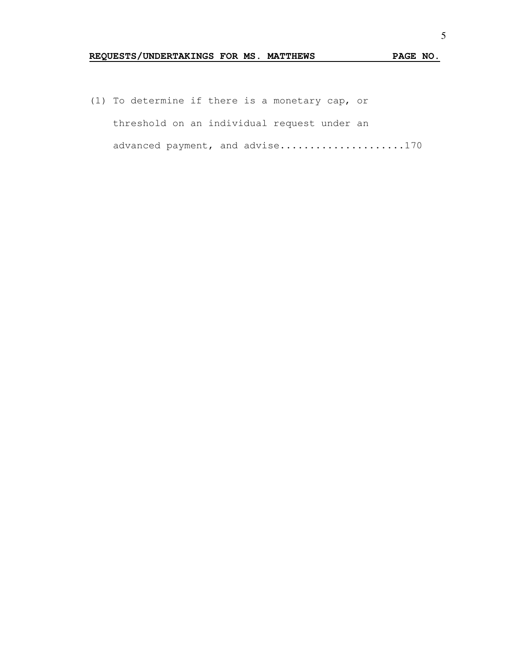# **REQUESTS/UNDERTAKINGS FOR MS. MATTHEWS PAGE NO.**

(1) To determine if there is a monetary cap, or threshold on an individual request under an advanced payment, and advise.....................170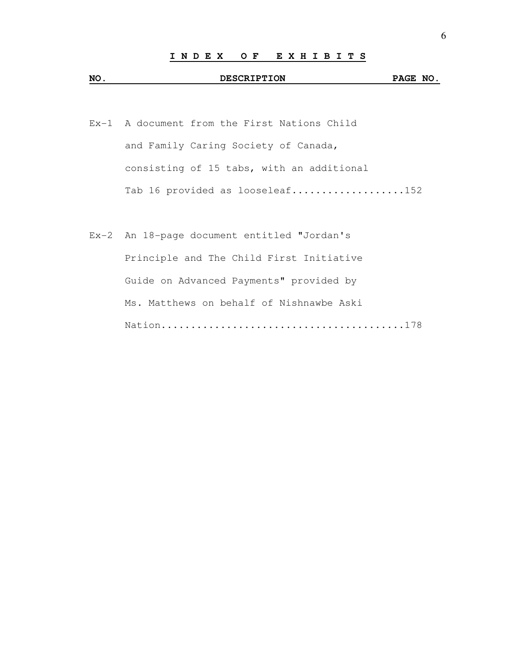# **NO. DESCRIPTION PAGE NO.**

- Ex-1 A document from the First Nations Child and Family Caring Society of Canada, consisting of 15 tabs, with an additional Tab 16 provided as looseleaf...................152
- Ex-2 An 18-page document entitled "Jordan's Principle and The Child First Initiative Guide on Advanced Payments" provided by Ms. Matthews on behalf of Nishnawbe Aski Nation.........................................178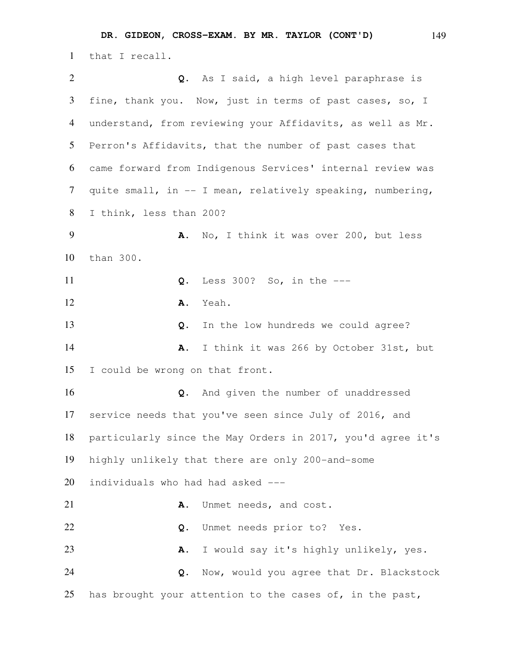that I recall. **Q.** As I said, a high level paraphrase is fine, thank you. Now, just in terms of past cases, so, I understand, from reviewing your Affidavits, as well as Mr. Perron's Affidavits, that the number of past cases that came forward from Indigenous Services' internal review was quite small, in -- I mean, relatively speaking, numbering, I think, less than 200? **A.** No, I think it was over 200, but less than 300. **Q.** Less 300? So, in the --- **A.** Yeah. **Q.** In the low hundreds we could agree? **A.** I think it was 266 by October 31st, but I could be wrong on that front. **Q.** And given the number of unaddressed service needs that you've seen since July of 2016, and particularly since the May Orders in 2017, you'd agree it's highly unlikely that there are only 200-and-some individuals who had had asked --- **A.** Unmet needs, and cost. **Q.** Unmet needs prior to? Yes. **A.** I would say it's highly unlikely, yes. **Q.** Now, would you agree that Dr. Blackstock

25 has brought your attention to the cases of, in the past,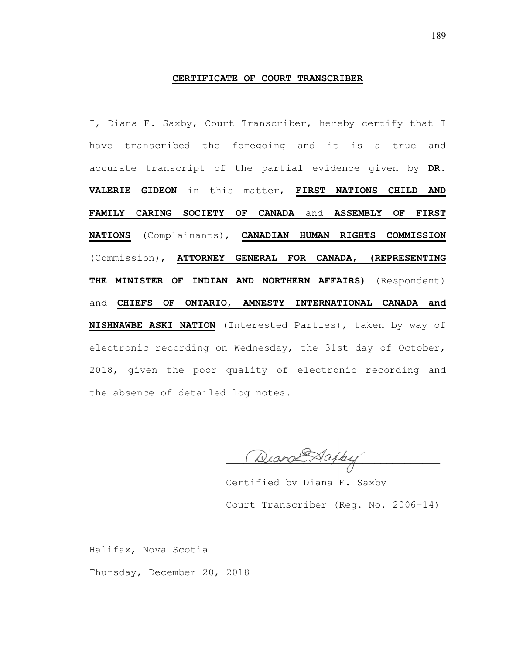#### **CERTIFICATE OF COURT TRANSCRIBER**

I, Diana E. Saxby, Court Transcriber, hereby certify that I have transcribed the foregoing and it is a true and accurate transcript of the partial evidence given by **DR. VALERIE GIDEON** in this matter, **FIRST NATIONS CHILD AND FAMILY CARING SOCIETY OF CANADA** and **ASSEMBLY OF FIRST NATIONS** (Complainants), **CANADIAN HUMAN RIGHTS COMMISSION**  (Commission), **ATTORNEY GENERAL FOR CANADA, (REPRESENTING THE MINISTER OF INDIAN AND NORTHERN AFFAIRS)** (Respondent) and **CHIEFS OF ONTARIO, AMNESTY INTERNATIONAL CANADA and NISHNAWBE ASKI NATION** (Interested Parties), taken by way of electronic recording on Wednesday, the 31st day of October, 2018, given the poor quality of electronic recording and the absence of detailed log notes.

Diand Happy

 Certified by Diana E. Saxby Court Transcriber (Reg. No. 2006-14)

Halifax, Nova Scotia

Thursday, December 20, 2018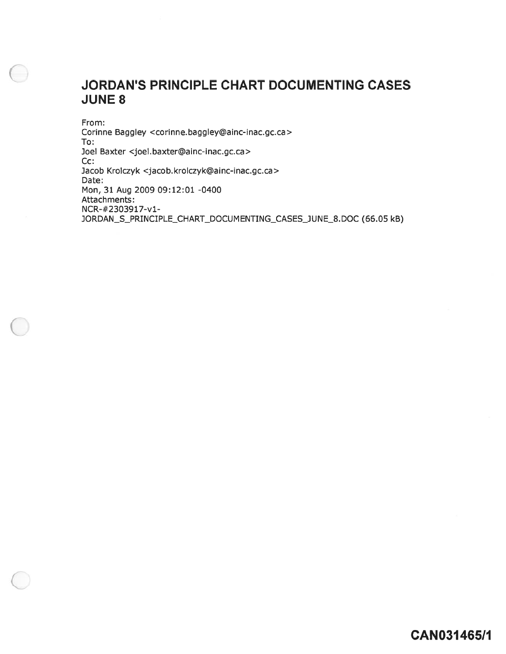# JORDAN'S PRINCIPLE CHART DOCUMENTING CASES JUNE 8

From: Corinne Baggley <corinne.baggley@ainc-inac.gc.ca> To: Joel Baxter <joel.baxter©ainc-inac.gc.ca> Cc: Jacob Krolczyk <jacob.krolczyk©ainc-inac.gc.ca> Date: Mon, 31 Aug 2009 09:12:01 -0400 Attachments: NCR-#2303917-vl-JORDAN\_S\_PRINCIPLE\_CHART\_DOCUMENTING\_CASES\_JUNE\_8. DOC (66.05 kB)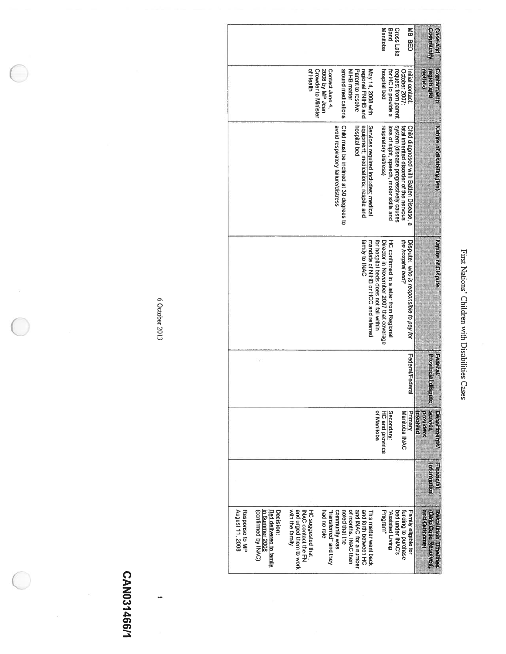| Manitoba                                                                                                                                                                                                                                                                                                                                                                                             | Band<br>Cross Lake                                                              | MB BED                                                                            | community<br>Case and                                             |
|------------------------------------------------------------------------------------------------------------------------------------------------------------------------------------------------------------------------------------------------------------------------------------------------------------------------------------------------------------------------------------------------------|---------------------------------------------------------------------------------|-----------------------------------------------------------------------------------|-------------------------------------------------------------------|
| of Health<br><b>Crowder to Minister</b><br>2008 by MP Jean<br>around medications<br>NIHB matter<br>Parent to resolve<br>May 14, 2008 with<br>Contact June 4,<br>hospital bed<br>regional FNIHB and                                                                                                                                                                                                   | for HC to provide a<br>request from parent                                      | October 2007:<br>Initial contact:                                                 | region and<br>Connact with<br>method                              |
| Child must be inclined at 30 degrees to<br>equipment; medications; respite and<br>Services required includes: medical<br>avoid respiratory failure/distress<br>respiratory distress)<br>hospital bed                                                                                                                                                                                                 | system (disease progressively causes<br>loss of sight, speech, motor skills and | Child diagnosed with Batten Disease, a<br>fatal inherited disorder of the nervous | Nature of disability (les)                                        |
| Director in November 2007 that coverage<br>mandate of NIHB or HCC and referred<br>family to INAC<br>for hospital beds does not fall within                                                                                                                                                                                                                                                           | HC confirmed in a letter from Regional                                          | the hospital bed?<br>Dispute: who is responsible to pay for                       | <b>Nature of Dispute</b>                                          |
|                                                                                                                                                                                                                                                                                                                                                                                                      |                                                                                 | Federal/Federal                                                                   | <b>Browlingian</b><br>Federal<br>me                               |
| of Manitoba<br>HC and province                                                                                                                                                                                                                                                                                                                                                                       | Secondary:                                                                      | Manitoba INAC<br>Primany                                                          | service<br><b>Departments</b><br><b>Arcylders</b><br>panjong      |
|                                                                                                                                                                                                                                                                                                                                                                                                      |                                                                                 |                                                                                   | Hhatici<br>uomenuou                                               |
| Response to MP<br>and urged them to work<br>August 11, 2008<br>of months. INAC then<br>and INAC for a number<br>and forth between HC<br>Bed delivered to family<br>INAC contact the FN<br>HC suggested that<br>noted that the<br>Decision:<br>with the family<br>had no role<br>community was<br>Program"<br>(Confirmed by INAC)<br>"transferred" and they<br>n Summer 2008<br>This matter went back | "Assisted Living<br>bed under INAC's                                            | funding to purchase<br>Family eligible for                                        | Resolution Timelines<br>and Outcome)<br><b>Date Case Resolved</b> |

First

Nations'

Children

with

Disabilities

Cases

6 October 2013 October2013

 $\tilde{\nu}$ 

# CANO3I 466/1

 $\bar{\epsilon}$ 

 $\tilde{\Sigma}$ 

 $\overline{a}$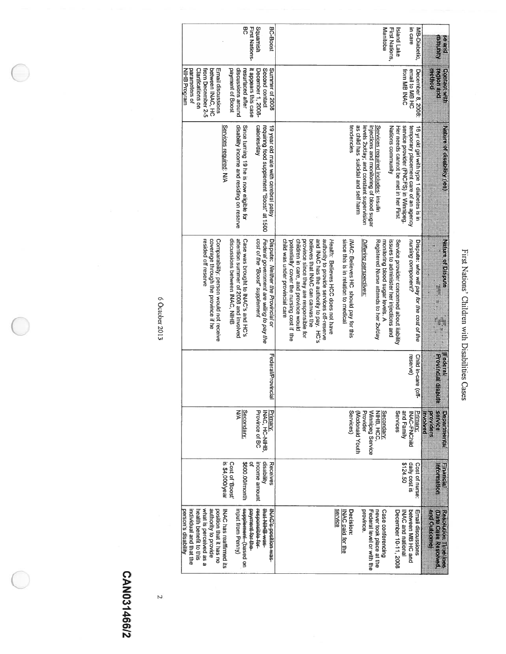| <b>Big and</b>                    | Contact With                                        | Nature of disability (les)                                                                                                  |                                                                                                                           |                                        |                                                |                                             |                                                                           |
|-----------------------------------|-----------------------------------------------------|-----------------------------------------------------------------------------------------------------------------------------|---------------------------------------------------------------------------------------------------------------------------|----------------------------------------|------------------------------------------------|---------------------------------------------|---------------------------------------------------------------------------|
| comunity                          | <b>PATE STORDER</b><br><b>THE ELECCE</b>            |                                                                                                                             | <b>Nature of Dispute</b><br>$x \times x$<br>医学家                                                                           | <b>Erovincial disp</b><br>Federal<br>Ħ | service<br>providers<br>Summarize<br>panjong   | <b>EUPRECIE</b><br><b>utoritation</b>       | and Outdome<br>Devices assessed<br>Resolution Timelines                   |
| in care<br>MB-Diabetic,           | email to MB HC<br>December 8, 2008:<br>from MB INAC | service provider (FNCFS) in Winnipeg.<br>temporary placement care of an agency<br>16 yr old girl with type 1 diabetes is in | unzing component?<br>Dispute: who will pay for the cost of the                                                            | reserve)<br>Child in-care (of          | and Family<br><b>Primany</b> :<br>INAC-FNChild | \$124.50<br>daily cost is<br>Cost of nurse: | between MB HC and<br>Email discussions<br><b>INAC and national</b>        |
| First Nations,<br>Island Lake     |                                                     | Nations community<br>Her needs cannot be met in her First                                                                   | Service provider concerned about liability<br>issues to administer her injections and                                     |                                        | Services                                       |                                             | December 10-11, 2008                                                      |
| Manitoba                          |                                                     | Services required includes: insulin<br>injections and monitoring of blood sugar                                             | Registered Nurse attends to her 2x/day<br>monitoring blood sugar levels. A                                                |                                        | Winnipeg Service<br>Secondan:<br>NIHB, HCC,    |                                             | Federal level or with the<br>never took place at the<br>Case conferencing |
|                                   |                                                     | as child has suicidal and self harm<br>levels 2x/day; and constant supervision                                              | Differing perspectives.                                                                                                   |                                        | Provider<br>(Madonald Youth                    |                                             | province.                                                                 |
|                                   |                                                     | tendencies                                                                                                                  | since this is in relation to medical<br>INAC: Believes HC should pay for this                                             |                                        | Services)                                      |                                             | service<br><b>Decision:</b><br>NAC paid for the                           |
|                                   |                                                     |                                                                                                                             | Health: Believes HCC does not have                                                                                        |                                        |                                                |                                             |                                                                           |
|                                   |                                                     |                                                                                                                             | and INAC has the authority to pay. HC's<br>authority to provide services off-reserve<br>believes that INAC can canvas the |                                        |                                                |                                             |                                                                           |
|                                   |                                                     |                                                                                                                             | children in care, and province would<br>province since they are responsible<br>ਕੁ                                         |                                        |                                                |                                             |                                                                           |
|                                   |                                                     |                                                                                                                             | child was under provincial care<br>potentially' cover the nursing cost if the                                             |                                        |                                                |                                             |                                                                           |
| BC-Boost                          | Summer of 2008<br>Second contact                    | requiring food supplement "Boost" at 1500<br>19 year old male with cerebral palsy                                           | Federal government are wiling to pay the<br>Dispute: Neither the Provincial or                                            | Federal/Provincia                      | Priman:<br>INAC, HC-NIHB                       | disability<br>Receives                      | <b>PAC-6-position was-</b><br>SBW BHIN TBH                                |
| <b>First Nations-</b><br>Squamish | it appears this case<br>December 1, 2008-           | catories/day                                                                                                                | cost of the "Boost" supplement                                                                                            |                                        | Province of BC                                 | income amount                               | Repensible-for-<br><b>Payment for the</b>                                 |
| ဌ                                 | resurfaced after                                    | Since turning 19 he is now eligible for                                                                                     | Case was brought to INAC's and HC's                                                                                       |                                        | Secondary:                                     | \$600.00/month                              | cupplement (based on                                                      |
|                                   | discussions around<br>payment of Boost              | disability income and residing on reserve                                                                                   | attention summer of 2008 and involved<br>discussions between INAC, NIHB                                                   |                                        | ξ                                              | Cost of 'Boost'                             | input from Penny)                                                         |
|                                   |                                                     | Services required: N/A                                                                                                      |                                                                                                                           |                                        |                                                | is \$4,000/year                             | INAC has reaffirmed its                                                   |
|                                   | Email discussions                                   |                                                                                                                             | Comparability: person would not receive                                                                                   |                                        |                                                |                                             | position that it has no                                                   |
|                                   | from December 2-5<br>between INAC, HC               |                                                                                                                             | coverage through the province if he<br>resided off reserve                                                                |                                        |                                                |                                             | authority to provide<br>what is perceived as a                            |
|                                   | barameters of<br><b>Clarifications on</b>           |                                                                                                                             |                                                                                                                           |                                        |                                                |                                             | individual and that the<br>health benefit to this                         |
|                                   |                                                     |                                                                                                                             |                                                                                                                           |                                        |                                                |                                             |                                                                           |

6 October 2013 October2013

parameters

Z<br>H

 $\bigcirc$ 

Program

individual

person's

disability

a<br>E that the

CANO3I CAN031466/2

 $\overline{2}$ 

First Nations' Children with Disabilities Cases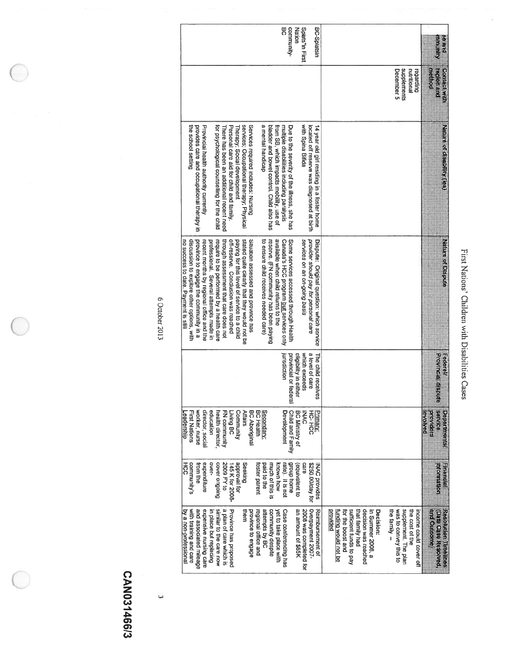| ĺ<br>֞֟֟֟֟֟֟֟֟֟֬֝    |
|----------------------|
| i<br>i               |
| <br> <br> <br>       |
| $\ddot{\phantom{a}}$ |
| į<br>                |
| ١                    |

| pus as<br>Ammun | put acides<br>pottem<br><b>Contact With</b>           | <b>Nature of disability (les)</b>                                                        | <b>Nature of Dispute</b>                                                      | Provincial displ<br>Federal<br>医原                  | service<br><b>Introlved</b><br>pepartnents<br>providers | Financial<br><b>HECHRITAGE</b>  | <b>and Olitome</b><br><b>Data Case Resolved</b><br>Resolution Timelines                                    |
|-----------------|-------------------------------------------------------|------------------------------------------------------------------------------------------|-------------------------------------------------------------------------------|----------------------------------------------------|---------------------------------------------------------|---------------------------------|------------------------------------------------------------------------------------------------------------|
|                 | supplements<br>December 5<br>nutritional<br>Legarding |                                                                                          |                                                                               |                                                    |                                                         |                                 | was to convey this to<br>supplement. The plan<br>the family -<br>the cost of the<br>income could cover off |
|                 |                                                       |                                                                                          |                                                                               |                                                    |                                                         |                                 | decision was reached<br><b>Decision:</b><br>In Summer 2008, a                                              |
|                 |                                                       |                                                                                          |                                                                               |                                                    |                                                         |                                 | sufficient funds to pay<br>that family had<br>funding would not be<br>for the boost and<br>provided        |
| BC-Splatsin     |                                                       | 14 year old girl residing in a foster home                                               | Dispute: Original question: which service                                     | The child receives                                 | Priman:                                                 | <b>NAC</b> provides             | Reimbursement of                                                                                           |
| Splats"in First |                                                       | with Spina Bifida<br>located off reserve was diagnosed at birth                          | services on an on-going basis<br>provider should pay for personal care        | which exceeds<br>a level of care                   | <b>INAC</b>                                             | Care<br>\$250.00/day for        | Overpayment 2007-<br>2008 was completed for                                                                |
| <b>Nation</b>   |                                                       |                                                                                          | Some services accessed through Health                                         | eligibility in either<br>provincial or fed<br>eral | BC Ministry of<br>Child and Family                      | auou dnou6<br>(equivalent to    | an amount of \$65K                                                                                         |
| g<br>community- |                                                       | multiple disabilities including paralysis<br>Due to the severity of the illness, she has | Canada's HCC program but services only                                        | jurisdiction                                       | <b>Development</b>                                      | rate). It is not                | Case conferencing has                                                                                      |
|                 |                                                       | bladder and bowel control. Child also has<br>from SB, which impacts mobility, use of     | available when child returns to the<br>reserve. (FN community has been paying |                                                    |                                                         | known how<br>much of this is    | community despite<br>yet to take place with                                                                |
|                 |                                                       | a mental handicap                                                                        | to ensure child receives needed care)                                         |                                                    | Secondary:<br><b>BC Health</b>                          | paid to the                     | attempts by BC                                                                                             |
|                 |                                                       | Services required includes: Nursing                                                      | Situation assessed and province has                                           |                                                    | <b>BC Aboriginal</b>                                    | foster parent                   | province to engage<br>regional office and                                                                  |
|                 |                                                       | services; Occupational therapy; Physical                                                 | stated quite clearly that they would not be                                   |                                                    | <b>Affairs</b>                                          | Seeking                         | mem                                                                                                        |
|                 |                                                       | Therapy; Social development                                                              | paying for this level of service to a child                                   |                                                    | Community                                               | Joj jevoudde<br>145 K for 2008- |                                                                                                            |
|                 |                                                       | Personal care aid for child and family.<br>There has been an additional recent need      | through assessment that care does not<br>off-reserve. Conclusion was reached  |                                                    | FN community<br>Living BC                               | 2009 FY to                      | a plan of care which is<br>Province has proposed                                                           |
|                 |                                                       | for psychological counselling for the child                                              | require to be performed by a health care                                      |                                                    | health director,                                        | cover ongoing                   | similar to the care now                                                                                    |
|                 |                                                       |                                                                                          | professional. Several attempts made in                                        |                                                    | education                                               | over-                           | in place but replacing                                                                                     |
|                 |                                                       | <b>Provincial health authority currently</b>                                             | recent months by regional office and the                                      |                                                    | director, social                                        | expenditure                     | expensive nursing care                                                                                     |
|                 |                                                       | provides care and occupational therapy in                                                | province to engage the community in a                                         |                                                    | worker, nurse                                           | trom the                        | and associated mileage                                                                                     |
|                 |                                                       | the school setting                                                                       | discussion to explore other options, with                                     |                                                    | <b>First Nations</b>                                    | community's                     | with training and care                                                                                     |
|                 |                                                       |                                                                                          | no success to date. Payment is still                                          |                                                    | Leadership                                              | 子<br>CC                         | by a non-professional                                                                                      |

6 October 2013  $C$ ctober 2013

C

# CAN031466/3 CAN03146613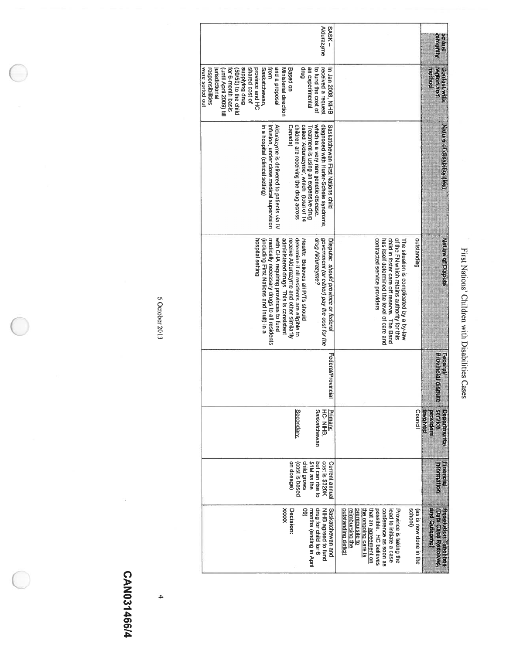| <b>Aldurazyme</b><br>- XSVS<br><b>Grup</b><br>from                                                                                                                                                                                                                                                                                                                                                                                                                                                                                                                                                                                                                               | ee and<br><b>DENHAND</b>                                           |
|----------------------------------------------------------------------------------------------------------------------------------------------------------------------------------------------------------------------------------------------------------------------------------------------------------------------------------------------------------------------------------------------------------------------------------------------------------------------------------------------------------------------------------------------------------------------------------------------------------------------------------------------------------------------------------|--------------------------------------------------------------------|
| <b>Brup Buikiddns</b><br>shared cost of<br>esodoud e pue<br>Based on<br>an experimental<br>received a request<br>were sorted out<br>province and HC<br>Saskatchewan,<br>to fund the cost of<br>In Jan 2008, NIHB<br>jurisdictional<br>Ministerial direction<br>responsibilities<br>Until April 2009) till<br>for 6-month basis<br>(50/50) to the child                                                                                                                                                                                                                                                                                                                           | nethod<br><b>CANACT WILD</b><br>pup goibe                          |
| which is a very rare genetic disease.<br>diagnosed with Hurler-Scheie syndrome,<br>in a hospital (clinical setting)<br>infusion, under close medical supervision<br>Aldurazyme is delivered to patients via IV<br>children are receiving the drug across<br>called 'Aldurazyme', which (total of 14<br>Saskatchewan First Nations child<br>Canada)<br>Treatment is using an expensive drug                                                                                                                                                                                                                                                                                       | Nature of cisability (res)                                         |
| determine if all residents are eligible to<br>government (or either) pay the cost for the<br>of the FN which retains authority for this<br>with CHA requiring provinces to fund<br>contracted service providers<br>child in foster care off reserve. The Band<br><b>Outstanding</b><br>hospital setting<br>medically necessary drugs to all residents<br>has itself determined the level of care and<br>administered drugs. This is consistent<br>qrug Aldurazyme?<br>Dispute: should province or federal<br>receive Aldurazyme and other similarily<br>Health: Believes all P/Ts should<br>The situation is complicated by a by-law<br>(including First Nations and Inuit) in a | Asture of Dispute                                                  |
| Federal/Provinci                                                                                                                                                                                                                                                                                                                                                                                                                                                                                                                                                                                                                                                                 | <b>Erovithcial displ</b><br>Federal<br>Ħ                           |
| Secondan:<br>Saskatchewan<br>Priman:<br>HC-NIHB,<br>Counci                                                                                                                                                                                                                                                                                                                                                                                                                                                                                                                                                                                                                       | service<br>Susautured<br>panonu<br>providers                       |
| cost is \$320K<br>on dosage)<br>child grows<br>\$1M as the<br>but can rise to<br>Current annual<br>(cost is based                                                                                                                                                                                                                                                                                                                                                                                                                                                                                                                                                                | Finational<br><b>Metruation</b>                                    |
| drug for child for 6<br>School)<br>xxxxx<br>Decision:<br>Saskatchewan and<br>outstanding deficil<br>8<br>months (ending in April<br>NIHB agreed to fund<br>possible. HC believes<br>conterence as soon as<br>Province is taking the<br>reimbursing the<br>ihat an <u>agreement on</u><br>ead to initiate a case<br>(as is now done in the<br>prerequisite to<br>he ongoing care is                                                                                                                                                                                                                                                                                               | and Outcome)<br><b>Date Case Rescrived</b><br>Resolution Timelines |

First

Nations'

Children

with

Disabilities

Cases

6 October 2013 October2013

# CAN031466/4 CAN03146614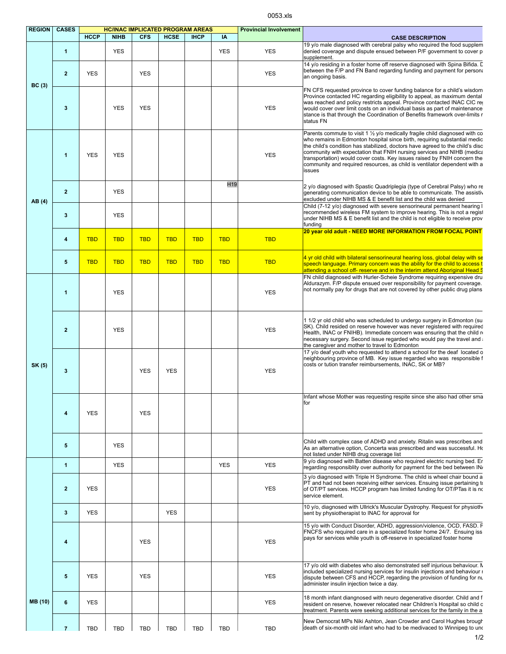0053.xls

| <b>REGION</b> | <b>CASES</b>   | <b>HC/INAC IMPLICATED PROGRAM AREAS</b> |             |            |             |             |                 | <b>Provincial Involvement</b> |                                                                                                                                                                                                                                                                                                                                                                                                                                                                                                   |  |  |
|---------------|----------------|-----------------------------------------|-------------|------------|-------------|-------------|-----------------|-------------------------------|---------------------------------------------------------------------------------------------------------------------------------------------------------------------------------------------------------------------------------------------------------------------------------------------------------------------------------------------------------------------------------------------------------------------------------------------------------------------------------------------------|--|--|
|               |                | <b>HCCP</b>                             | <b>NIHB</b> | <b>CFS</b> | <b>HCSE</b> | <b>IHCP</b> | IA              |                               | <b>CASE DESCRIPTION</b>                                                                                                                                                                                                                                                                                                                                                                                                                                                                           |  |  |
|               | $\mathbf{1}$   |                                         | <b>YES</b>  |            |             |             | <b>YES</b>      | <b>YES</b>                    | 19 v/o male diagnosed with cerebral palsy who required the food supplem<br>denied coverage and dispute ensued between P/F government to cover p<br>supplement.                                                                                                                                                                                                                                                                                                                                    |  |  |
| BC(3)         | $\overline{2}$ | <b>YES</b>                              |             | <b>YES</b> |             |             |                 | <b>YES</b>                    | 14 y/o residing in a foster home off reserve diagnosed with Spina Bifida. D<br>between the F/P and FN Band regarding funding and payment for personal<br>an ongoing basis.                                                                                                                                                                                                                                                                                                                        |  |  |
|               | $\mathbf{3}$   |                                         | <b>YES</b>  | <b>YES</b> |             |             |                 | <b>YES</b>                    | FN CFS requested province to cover funding balance for a child's wisdom<br>Province contacted HC regarding eligibility to appeal, as maximum dental<br>was reached and policy restricts appeal. Province contacted INAC CIC req<br>would cover over limit costs on an individual basis as part of maintenance<br>stance is that through the Coordination of Benefits framework over-limits r<br>status FN                                                                                         |  |  |
|               | $\mathbf{1}$   | <b>YES</b>                              | <b>YES</b>  |            |             |             |                 | <b>YES</b>                    | Parents commute to visit 1 $\frac{1}{2}$ y/o medically fragile child diagnosed with co<br>who remains in Edmonton hospital since birth, requiring substantial medic<br>the child's condition has stabilized, doctors have agreed to the child's disc<br>community with expectation that FNIH nursing services and NIHB (medica<br>transportation) would cover costs. Key issues raised by FNIH concern the<br>community and required resources, as child is ventilator dependent with a<br>issues |  |  |
|               |                |                                         |             |            |             |             | H <sub>19</sub> |                               | 2 y/o diagnosed with Spastic Quadriplegia (type of Cerebral Palsy) who re                                                                                                                                                                                                                                                                                                                                                                                                                         |  |  |
| AB (4)        | $\overline{2}$ |                                         | <b>YES</b>  |            |             |             |                 |                               | generating communication device to be able to communicate. The assistive<br>excluded under NIHB MS & E benefit list and the child was denied<br>Child (7-12 y/o) diagnosed with severe sensorineural permanent hearing I                                                                                                                                                                                                                                                                          |  |  |
|               | 3              |                                         | <b>YES</b>  |            |             |             |                 |                               | recommended wireless FM system to improve hearing. This is not a regist<br>under NIHB MS & E benefit list and the child is not eligible to receive prov<br>funding                                                                                                                                                                                                                                                                                                                                |  |  |
|               | 4              | <b>TBD</b>                              | <b>TBD</b>  | <b>TBD</b> | <b>TBD</b>  | <b>TBD</b>  | <b>TBD</b>      | <b>TBD</b>                    | 20 year old adult - NEED MORE INFORMATION FROM FOCAL POINT                                                                                                                                                                                                                                                                                                                                                                                                                                        |  |  |
|               | 5              | <b>TBD</b>                              | <b>TBD</b>  | <b>TBD</b> | <b>TBD</b>  | <b>TBD</b>  | <b>TBD</b>      | <b>TBD</b>                    | 4 yr old child with bilateral sensorineural hearing loss, global delay with se<br>speech language. Primary concern was the ability for the child to access t<br>attending a school off- reserve and in the interim attend Aboriginal Head S                                                                                                                                                                                                                                                       |  |  |
| SK (5)        | 1              |                                         | <b>YES</b>  |            |             |             |                 | <b>YES</b>                    | FN child diagnosed with Hurler-Scheie Syndrome requiring expensive dru<br>Aldurazym. F/P dispute ensued over responsibility for payment coverage.<br>not normally pay for drugs that are not covered by other public drug plans                                                                                                                                                                                                                                                                   |  |  |
|               | $\overline{2}$ |                                         | <b>YES</b>  |            |             |             |                 | <b>YES</b>                    | 1 1/2 yr old child who was scheduled to undergo surgery in Edmonton (su<br>SK). Child resided on reserve however was never registered with required<br>Health, INAC or FNIHB). Immediate concern was ensuring that the child no<br>necessary surgery. Second issue regarded who would pay the travel and<br>the caregiver and mother to travel to Edmonton                                                                                                                                        |  |  |
|               | $\mathbf{3}$   |                                         |             | <b>YES</b> | <b>YES</b>  |             |                 | <b>YES</b>                    | 17 y/o deaf youth who requested to attend a school for the deaf located o<br>neighbouring province of MB. Key issue regarded who was responsible f<br>costs or tution transfer reimbursements, INAC, SK or MB?                                                                                                                                                                                                                                                                                    |  |  |
|               | 4              | <b>YES</b>                              |             | <b>YES</b> |             |             |                 |                               | Infant whose Mother was requesting respite since she also had other sma<br>for                                                                                                                                                                                                                                                                                                                                                                                                                    |  |  |
|               | 5              |                                         | <b>YES</b>  |            |             |             |                 |                               | Child with complex case of ADHD and anxiety. Ritalin was prescribes and<br>As an alternative option, Concerta was prescribed and was successful. Ho<br>not listed under NIHB drug coverage list                                                                                                                                                                                                                                                                                                   |  |  |
|               | 1              |                                         | <b>YES</b>  |            |             |             | <b>YES</b>      | <b>YES</b>                    | 9 y/o diagnosed with Batten disease who required electric nursing bed. Er<br>regarding responsiblity over authority for payment for the bed between IN                                                                                                                                                                                                                                                                                                                                            |  |  |
|               | $\overline{2}$ | <b>YES</b>                              |             |            |             |             |                 | <b>YES</b>                    | 3 y/o diagnosed with Triple H Syndrome. The child is wheel chair bound a<br>PT and had not been receiving either services. Ensuing issue pertaining to<br>of OT/PT services. HCCP program has limited funding for OT/PTas it is no<br>service element.                                                                                                                                                                                                                                            |  |  |
|               | 3              | <b>YES</b>                              |             |            | <b>YES</b>  |             |                 |                               | 10 y/o, diagnosed with Ullrick's Muscular Dystrophy. Request for physiothe<br>sent by physiotherapist to INAC for approval for                                                                                                                                                                                                                                                                                                                                                                    |  |  |
|               | 4              |                                         |             | <b>YES</b> |             |             |                 | <b>YES</b>                    | 15 y/o with Conduct Disorder, ADHD, aggression/violence, OCD, FASD. F<br>FNCFS who required care in a specialized foster home 24/7. Ensuing iss<br>pays for services while youth is off-reserve in specialized foster home                                                                                                                                                                                                                                                                        |  |  |
|               | 5              | <b>YES</b>                              |             | <b>YES</b> |             |             |                 | <b>YES</b>                    | 17 y/o old with diabetes who also demonstrated self injurious behaviour. N<br>included specialized nursing services for insulin injections and behaviour i<br>dispute between CFS and HCCP, regarding the provision of funding for nu<br>administer insulin injection twice a day.                                                                                                                                                                                                                |  |  |
| MB (10)       | 6              | <b>YES</b>                              |             |            |             |             |                 | <b>YES</b>                    | 18 month infant diangnosed with neuro degenerative disorder. Child and f<br>resident on reserve, however relocated near Children's Hospital so child c<br>treatment. Parents were seeking additional services for the family in the a                                                                                                                                                                                                                                                             |  |  |
|               | $\overline{7}$ | TBD                                     | <b>TBD</b>  | TBD        | <b>TBD</b>  | <b>TBD</b>  | <b>TBD</b>      | <b>TBD</b>                    | New Democrat MPs Niki Ashton, Jean Crowder and Carol Hughes brough<br>death of six-month old infant who had to be medivaced to Winnipeg to und                                                                                                                                                                                                                                                                                                                                                    |  |  |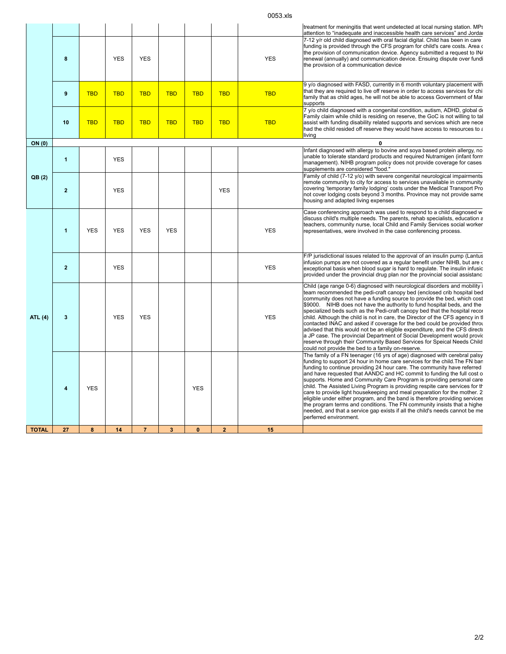0053.xls

|                |                         |            |            |                |            |              |              |            | treatment for meningitis that went undetected at local nursing station. MPs<br>attention to "inadequate and inaccessible health care services" and Jordal                                                                                                                                                                                                                                                                                                                                                                                                                                                                                                                                                                                                                                                                                       |
|----------------|-------------------------|------------|------------|----------------|------------|--------------|--------------|------------|-------------------------------------------------------------------------------------------------------------------------------------------------------------------------------------------------------------------------------------------------------------------------------------------------------------------------------------------------------------------------------------------------------------------------------------------------------------------------------------------------------------------------------------------------------------------------------------------------------------------------------------------------------------------------------------------------------------------------------------------------------------------------------------------------------------------------------------------------|
|                | 8                       |            | <b>YES</b> | <b>YES</b>     |            |              |              | <b>YES</b> | 7-12 y/r old child diagnosed with oral facial digital. Child has been in care<br>funding is provided through the CFS program for child's care costs. Area c<br>the provision of communication device. Agency submitted a request to IN/<br>renewal (annually) and communication device. Ensuing dispute over fundi<br>the provision of a communication device                                                                                                                                                                                                                                                                                                                                                                                                                                                                                   |
|                | $\boldsymbol{9}$        | <b>TBD</b> | <b>TBD</b> | <b>TBD</b>     | <b>TBD</b> | <b>TBD</b>   | <b>TBD</b>   | <b>TBD</b> | 9 y/o diagnosed with FASD, currently in 6 month voluntary placement with<br>that they are required to live off reserve in order to access services for chi<br>family that as child ages, he will not be able to access Government of Mar<br>supports                                                                                                                                                                                                                                                                                                                                                                                                                                                                                                                                                                                            |
|                | 10                      | <b>TBD</b> | <b>TBD</b> | <b>TBD</b>     | <b>TBD</b> | <b>TBD</b>   | <b>TBD</b>   | <b>TBD</b> | 7 y/o child diagnosed with a congenital condition, autism, ADHD, global de<br>Family claim while child is residing on reserve, the GoC is not willing to tal<br>assist with funding disability related supports and services which are nece<br>had the child resided off reserve they would have access to resources to a<br>living                                                                                                                                                                                                                                                                                                                                                                                                                                                                                                             |
| ON (0)         |                         |            |            |                |            |              |              |            | 0                                                                                                                                                                                                                                                                                                                                                                                                                                                                                                                                                                                                                                                                                                                                                                                                                                               |
|                | 1                       |            | <b>YES</b> |                |            |              |              |            | Infant diagnosed with allergy to bovine and soya based protein allergy, no<br>unable to tolerate standard products and required Nutramigen (infant form<br>management). NIHB program policy does not provide coverage for cases<br>supplements are considered "food."                                                                                                                                                                                                                                                                                                                                                                                                                                                                                                                                                                           |
| QB(2)          | $\overline{2}$          |            | <b>YES</b> |                |            |              | <b>YES</b>   |            | Family of child (7-12 y/o) with severe congenital neurological impairments<br>remote community to city for access to services unavailable in community<br>covering 'temporary family lodging' costs under the Medical Transport Pro<br>not cover lodging costs beyond 3 months. Province may not provide same<br>housing and adapted living expenses                                                                                                                                                                                                                                                                                                                                                                                                                                                                                            |
|                | 1                       | <b>YES</b> | <b>YES</b> | <b>YES</b>     | <b>YES</b> |              |              | <b>YES</b> | Case conferencing approach was used to respond to a child diagnosed w<br>discuss child's multiple needs. The parents, rehab specialists, education a<br>teachers, community nurse, local Child and Family Services social worker<br>representatives, were involved in the case conferencing process.                                                                                                                                                                                                                                                                                                                                                                                                                                                                                                                                            |
|                | $\overline{2}$          |            | <b>YES</b> |                |            |              |              | <b>YES</b> | F/P jurisdictional issues related to the approval of an insulin pump (Lantus<br>infusion pumps are not covered as a regular benefit under NIHB, but are c<br>exceptional basis when blood sugar is hard to regulate. The insulin infusic<br>provided under the provincial drug plan nor the provincial social assistanc                                                                                                                                                                                                                                                                                                                                                                                                                                                                                                                         |
| <b>ATL (4)</b> | 3                       |            | <b>YES</b> | <b>YES</b>     |            |              |              | <b>YES</b> | Child (age range 0-6) diagnosed with neurological disorders and mobility i<br>team recommended the pedi-craft canopy bed (enclosed crib hospital bed<br>community does not have a funding source to provide the bed, which cost<br>\$9000. NIHB does not have the authority to fund hospital beds, and the<br>specialized beds such as the Pedi-craft canopy bed that the hospital recor<br>child. Although the child is not in care, the Director of the CFS agency in tl<br>contacted INAC and asked if coverage for the bed could be provided throu<br>advised that this would not be an eligible expenditure, and the CFS directo<br>a JP case. The provincial Department of Social Development would provid<br>reserve through their Community Based Services for Speical Needs Child<br>could not provide the bed to a family on-reserve. |
|                | $\overline{\mathbf{4}}$ | <b>YES</b> |            |                |            | <b>YES</b>   |              |            | The family of a FN teenager (16 yrs of age) diagnosed with cerebral palsy<br>funding to support 24 hour in home care services for the child. The FN ban<br>funding to continue providing 24 hour care. The community have referred<br>and have requested that AANDC and HC commit to funding the full cost o<br>supports. Home and Community Care Program is providing personal care<br>child. The Assisted Living Program is providing respite care services for th<br>care to provide light housekeeping and meal preparation for the mother. 2<br>eligible under either program, and the band is therefore providing services<br>the program terms and conditions. The FN community insists that a highe<br>needed, and that a service gap exists if all the child's needs cannot be me<br>perferred environment.                            |
| <b>TOTAL</b>   | 27                      | 8          | 14         | $\overline{7}$ | 3          | $\mathbf{0}$ | $\mathbf{2}$ | 15         |                                                                                                                                                                                                                                                                                                                                                                                                                                                                                                                                                                                                                                                                                                                                                                                                                                                 |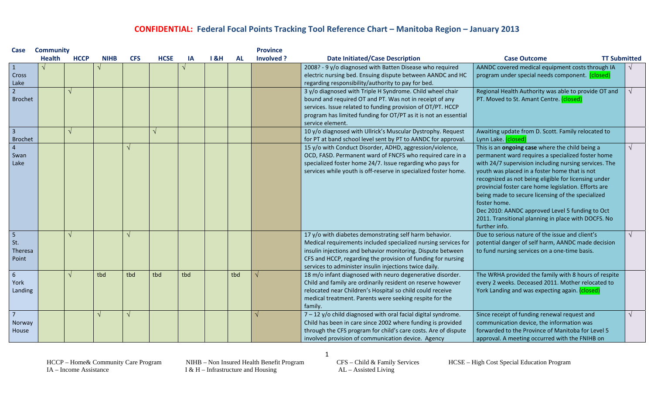| Case                                       | <b>Community</b> |             |             |            |             |     |     |           | <b>Province</b> |                                                                                                                                                                                                                                                                                                                   |                                                                                                                                                                                                                                                                                                                                                                                                                                                                                                                                |  |
|--------------------------------------------|------------------|-------------|-------------|------------|-------------|-----|-----|-----------|-----------------|-------------------------------------------------------------------------------------------------------------------------------------------------------------------------------------------------------------------------------------------------------------------------------------------------------------------|--------------------------------------------------------------------------------------------------------------------------------------------------------------------------------------------------------------------------------------------------------------------------------------------------------------------------------------------------------------------------------------------------------------------------------------------------------------------------------------------------------------------------------|--|
|                                            | <b>Health</b>    | <b>HCCP</b> | <b>NIHB</b> | <b>CFS</b> | <b>HCSE</b> | ΙA  | 18H | <b>AL</b> | Involved ?      | <b>Date Initiated/Case Description</b>                                                                                                                                                                                                                                                                            | <b>Case Outcome</b><br><b>TT Submitted</b>                                                                                                                                                                                                                                                                                                                                                                                                                                                                                     |  |
| $\mathbf{1}$<br>Cross<br>Lake              |                  |             |             |            |             |     |     |           |                 | 2008? - 9 y/o diagnosed with Batten Disease who required<br>electric nursing bed. Ensuing dispute between AANDC and HC<br>regarding responsibility/authority to pay for bed.                                                                                                                                      | AANDC covered medical equipment costs through IA<br>program under special needs component. (closed)                                                                                                                                                                                                                                                                                                                                                                                                                            |  |
| $\overline{2}$<br><b>Brochet</b>           |                  | V           |             |            |             |     |     |           |                 | 3 y/o diagnosed with Triple H Syndrome. Child wheel chair<br>bound and required OT and PT. Was not in receipt of any<br>services. Issue related to funding provision of OT/PT. HCCP<br>program has limited funding for OT/PT as it is not an essential<br>service element.                                        | Regional Health Authority was able to provide OT and<br>PT. Moved to St. Amant Centre. (closed)                                                                                                                                                                                                                                                                                                                                                                                                                                |  |
| $\overline{3}$<br><b>Brochet</b>           |                  |             |             |            |             |     |     |           |                 | 10 y/o diagnosed with Ullrick's Muscular Dystrophy. Request<br>for PT at band school level sent by PT to AANDC for approval.                                                                                                                                                                                      | Awaiting update from D. Scott. Family relocated to<br>Lynn Lake. (closed)                                                                                                                                                                                                                                                                                                                                                                                                                                                      |  |
| $\overline{4}$<br>Swan<br>Lake             |                  |             |             |            |             |     |     |           |                 | 15 y/o with Conduct Disorder, ADHD, aggression/violence,<br>OCD, FASD. Permanent ward of FNCFS who required care in a<br>specialized foster home 24/7. Issue regarding who pays for<br>services while youth is off-reserve in specialized foster home.                                                            | This is an ongoing case where the child being a<br>permanent ward requires a specialized foster home<br>with 24/7 supervision including nursing services. The<br>youth was placed in a foster home that is not<br>recognized as not being eligible for licensing under<br>provincial foster care home legislation. Efforts are<br>being made to secure licensing of the specialized<br>foster home.<br>Dec 2010: AANDC approved Level 5 funding to Oct<br>2011. Transitional planning in place with DOCFS. No<br>further info. |  |
| $5\overline{5}$<br>St.<br>Theresa<br>Point |                  |             |             |            |             |     |     |           |                 | 17 y/o with diabetes demonstrating self harm behavior.<br>Medical requirements included specialized nursing services for<br>insulin injections and behavior monitoring. Dispute between<br>CFS and HCCP, regarding the provision of funding for nursing<br>services to administer insulin injections twice daily. | Due to serious nature of the issue and client's<br>potential danger of self harm, AANDC made decision<br>to fund nursing services on a one-time basis.                                                                                                                                                                                                                                                                                                                                                                         |  |
| $6\phantom{1}6$<br>York<br>Landing         |                  |             | tbd         | tbd        | tbd         | tbd |     | tbd       |                 | 18 m/o infant diagnosed with neuro degenerative disorder.<br>Child and family are ordinarily resident on reserve however<br>relocated near Children's Hospital so child could receive<br>medical treatment. Parents were seeking respite for the<br>family.                                                       | The WRHA provided the family with 8 hours of respite<br>every 2 weeks. Deceased 2011. Mother relocated to<br>York Landing and was expecting again. (closed)                                                                                                                                                                                                                                                                                                                                                                    |  |
| $\overline{7}$<br>Norway<br>House          |                  |             |             |            |             |     |     |           |                 | $7 - 12$ y/o child diagnosed with oral facial digital syndrome.<br>Child has been in care since 2002 where funding is provided<br>through the CFS program for child's care costs. Are of dispute<br>involved provision of communication device. Agency                                                            | Since receipt of funding renewal request and<br>communication device, the information was<br>forwarded to the Province of Manitoba for Level 5<br>approval. A meeting occurred with the FNIHB on                                                                                                                                                                                                                                                                                                                               |  |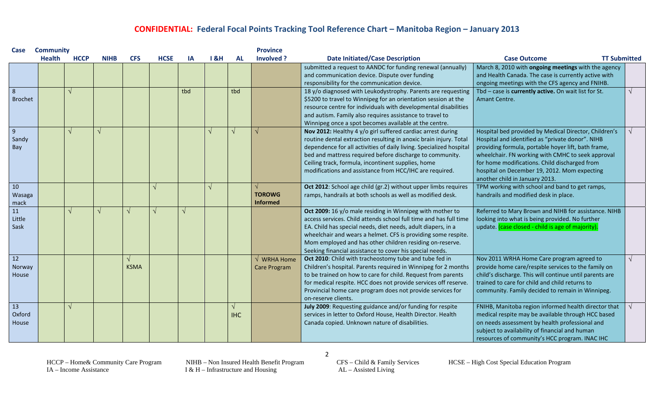| Case                           | <b>Community</b> |             |             |             |             |     |     |                             | <b>Province</b>                                       |                                                                                                                                                                                                                                                                                                                                                                                         |                                                                                                                                                                                                                                                                                                                                                          |  |
|--------------------------------|------------------|-------------|-------------|-------------|-------------|-----|-----|-----------------------------|-------------------------------------------------------|-----------------------------------------------------------------------------------------------------------------------------------------------------------------------------------------------------------------------------------------------------------------------------------------------------------------------------------------------------------------------------------------|----------------------------------------------------------------------------------------------------------------------------------------------------------------------------------------------------------------------------------------------------------------------------------------------------------------------------------------------------------|--|
|                                | <b>Health</b>    | <b>HCCP</b> | <b>NIHB</b> | <b>CFS</b>  | <b>HCSE</b> | IA  | 18H | <b>AL</b>                   | Involved ?                                            | <b>Date Initiated/Case Description</b>                                                                                                                                                                                                                                                                                                                                                  | <b>TT Submitted</b><br><b>Case Outcome</b>                                                                                                                                                                                                                                                                                                               |  |
|                                |                  |             |             |             |             |     |     |                             |                                                       | submitted a request to AANDC for funding renewal (annually)<br>March 8, 2010 with ongoing meetings with the agency<br>and communication device. Dispute over funding<br>and Health Canada. The case is currently active with<br>responsibility for the communication device.<br>ongoing meetings with the CFS agency and FNIHB.                                                         |                                                                                                                                                                                                                                                                                                                                                          |  |
| 8<br><b>Brochet</b>            |                  |             |             |             |             | tbd |     | tbd                         |                                                       | 18 y/o diagnosed with Leukodystrophy. Parents are requesting<br>\$5200 to travel to Winnipeg for an orientation session at the<br>resource centre for individuals with developmental disabilities<br>and autism. Family also requires assistance to travel to<br>Winnipeg once a spot becomes available at the centre.                                                                  | Tbd - case is currently active. On wait list for St.<br>Amant Centre.                                                                                                                                                                                                                                                                                    |  |
| $\overline{9}$<br>Sandy<br>Bay |                  |             |             |             |             |     |     | $\sqrt{ }$                  |                                                       | Nov 2012: Healthy 4 y/o girl suffered cardiac arrest during<br>routine dental extraction resulting in anoxic brain injury. Total<br>dependence for all activities of daily living. Specialized hospital<br>bed and mattress required before discharge to community.<br>Ceiling track, formula, incontinent supplies, home<br>modifications and assistance from HCC/IHC are required.    | Hospital bed provided by Medical Director, Children's<br>Hospital and identified as "private donor". NIHB<br>providing formula, portable hoyer lift, bath frame,<br>wheelchair. FN working with CMHC to seek approval<br>for home modifications. Child discharged from<br>hospital on December 19, 2012. Mom expecting<br>another child in January 2013. |  |
| 10<br>Wasaga<br>mack           |                  |             |             |             |             |     |     |                             | <b>TOROWG</b><br><b>Informed</b>                      | Oct 2012: School age child (gr.2) without upper limbs requires<br>ramps, handrails at both schools as well as modified desk.                                                                                                                                                                                                                                                            | TPM working with school and band to get ramps,<br>handrails and modified desk in place.                                                                                                                                                                                                                                                                  |  |
| 11<br>Little<br>Sask           |                  |             |             |             |             |     |     |                             |                                                       | Oct 2009: 16 y/o male residing in Winnipeg with mother to<br>access services. Child attends school full time and has full time<br>EA. Child has special needs, diet needs, adult diapers, in a<br>wheelchair and wears a helmet. CFS is providing some respite.<br>Mom employed and has other children residing on-reserve.<br>Seeking financial assistance to cover his special needs. | Referred to Mary Brown and NIHB for assistance. NIHB<br>looking into what is being provided. No further<br>update. (case closed - child is age of majority).                                                                                                                                                                                             |  |
| 12<br>Norway<br>House          |                  |             |             | <b>KSMA</b> |             |     |     |                             | $\sqrt{\phantom{a}}$ WRHA Home<br><b>Care Program</b> | Oct 2010: Child with tracheostomy tube and tube fed in<br>Children's hospital. Parents required in Winnipeg for 2 months<br>to be trained on how to care for child. Request from parents<br>for medical respite. HCC does not provide services off reserve.<br>Provincial home care program does not provide services for<br>on-reserve clients.                                        | Nov 2011 WRHA Home Care program agreed to<br>provide home care/respite services to the family on<br>child's discharge. This will continue until parents are<br>trained to care for child and child returns to<br>community. Family decided to remain in Winnipeg.                                                                                        |  |
| 13<br>Oxford<br>House          |                  |             |             |             |             |     |     | $\mathcal{N}$<br><b>IHC</b> |                                                       | July 2009: Requesting guidance and/or funding for respite<br>services in letter to Oxford House, Health Director. Health<br>Canada copied. Unknown nature of disabilities.                                                                                                                                                                                                              | FNIHB, Manitoba region informed health director that<br>medical respite may be available through HCC based<br>on needs assessment by health professional and<br>subject to availability of financial and human<br>resources of community's HCC program. INAC IHC                                                                                         |  |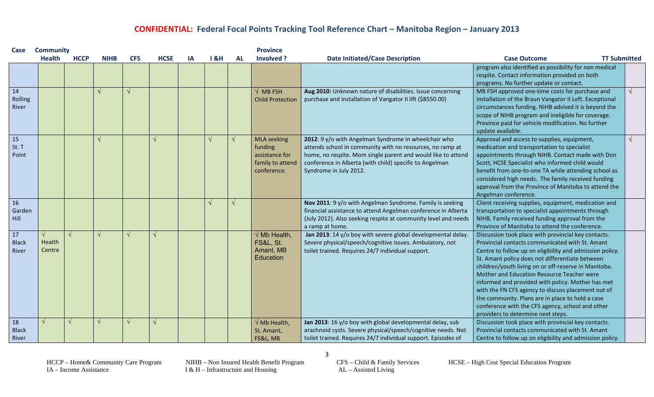| Case                        | <b>Province</b><br><b>Community</b> |             |             |            |             |    |            |            |                                                                                    |                                                                                                                                                                                                                                                                        |                                                                                                                                                                                                                                                                                                                                                                                                                                                                                                                                                                                      |            |
|-----------------------------|-------------------------------------|-------------|-------------|------------|-------------|----|------------|------------|------------------------------------------------------------------------------------|------------------------------------------------------------------------------------------------------------------------------------------------------------------------------------------------------------------------------------------------------------------------|--------------------------------------------------------------------------------------------------------------------------------------------------------------------------------------------------------------------------------------------------------------------------------------------------------------------------------------------------------------------------------------------------------------------------------------------------------------------------------------------------------------------------------------------------------------------------------------|------------|
|                             | <b>Health</b>                       | <b>HCCP</b> | <b>NIHB</b> | <b>CFS</b> | <b>HCSE</b> | IA | 18H        | <b>AL</b>  | Involved ?                                                                         | <b>Date Initiated/Case Description</b>                                                                                                                                                                                                                                 | <b>TT Submitted</b><br><b>Case Outcome</b>                                                                                                                                                                                                                                                                                                                                                                                                                                                                                                                                           |            |
|                             |                                     |             |             |            |             |    |            |            |                                                                                    |                                                                                                                                                                                                                                                                        | program also identified as possibility for non medical<br>respite. Contact information provided on both<br>programs. No further update or contact.                                                                                                                                                                                                                                                                                                                                                                                                                                   |            |
| 14<br>Rolling<br>River      |                                     |             | $\sqrt{ }$  |            |             |    |            |            | $\sqrt{\phantom{a}}$ MB FSH<br><b>Child Protection</b>                             | Aug 2010: Unknown nature of disabilities. Issue concerning<br>purchase and installation of Vangator II lift (\$8550.00)                                                                                                                                                | MB FSH approved one-time costs for purchase and<br>installation of the Braun Vangator II Left. Exceptional<br>circumstances funding. NIHB advised it is beyond the<br>scope of NIHB program and ineligible for coverage.<br>Province paid for vehicle modification. No further<br>update available.                                                                                                                                                                                                                                                                                  |            |
| 15<br>St. T<br>Point        |                                     |             | $\sqrt{ }$  |            |             |    | $\sqrt{ }$ | $\sqrt{ }$ | <b>MLA</b> seeking<br>funding<br>assistance for<br>family to attend<br>conference. | 2012: 9 y/o with Angelman Syndrome in wheelchair who<br>attends school in community with no resources, no ramp at<br>home, no respite. Mom single parent and would like to attend<br>conference in Alberta (with child) specific to Angelman<br>Syndrome in July 2012. | Approval and access to supplies, equipment,<br>medication and transportation to specialist<br>appointments through NIHB. Contact made with Don<br>Scott, HCSE Specialist who informed child would<br>benefit from one-to-one TA while attending school as<br>considered high needs. The family received funding<br>approval from the Province of Manitoba to attend the<br>Angelman conference.                                                                                                                                                                                      | $\sqrt{ }$ |
| 16<br>Garden<br>Hill        |                                     |             |             |            |             |    | J          | اد         |                                                                                    | Nov 2011: 9 y/o with Angelman Syndrome. Family is seeking<br>financial assistance to attend Angelman conference in Alberta<br>(July 2012). Also seeking respite at community level and needs<br>a ramp at home.                                                        | Client receiving supplies, equipment, medication and<br>transportation to specialist appointments through<br>NIHB. Family received funding approval from the<br>Province of Manitoba to attend the conference.                                                                                                                                                                                                                                                                                                                                                                       |            |
| 17<br><b>Black</b><br>River | Health<br>Centre                    | $\sqrt{ }$  | V           |            |             |    |            |            | $\sqrt{}$ Mb Health,<br><b>FS&amp;L, St.</b><br>Amant, MB<br>Education             | Jan 2013: 14 y/o boy with severe global developmental delay.<br>Severe physical/speech/cognitive issues. Ambulatory, not<br>toilet trained. Requires 24/7 individual support.                                                                                          | Discussion took place with provincial key contacts.<br>Provincial contacts communicated with St. Amant<br>Centre to follow up on eligibility and admission policy.<br>St. Amant policy does not differentiate between<br>children/youth living on or off-reserve in Manitoba.<br>Mother and Education Resource Teacher were<br>informed and provided with policy. Mother has met<br>with the FN CFS agency to discuss placement out of<br>the community. Plans are in place to hold a case<br>conference with the CFS agency, school and other<br>providers to determine next steps. |            |
| 18<br><b>Black</b><br>River | √                                   |             | V           |            |             |    |            |            | $\sqrt{\mathsf{Mb}}$ Health,<br>St. Amant,<br>FS&L, MB                             | Jan 2013: 16 y/o boy with global developmental delay, sub<br>arachnoid cysts. Severe physical/speech/cognitive needs. Not<br>toilet trained. Requires 24/7 individual support. Episodes of                                                                             | Discussion took place with provincial key contacts.<br>Provincial contacts communicated with St. Amant<br>Centre to follow up on eligibility and admission policy.                                                                                                                                                                                                                                                                                                                                                                                                                   |            |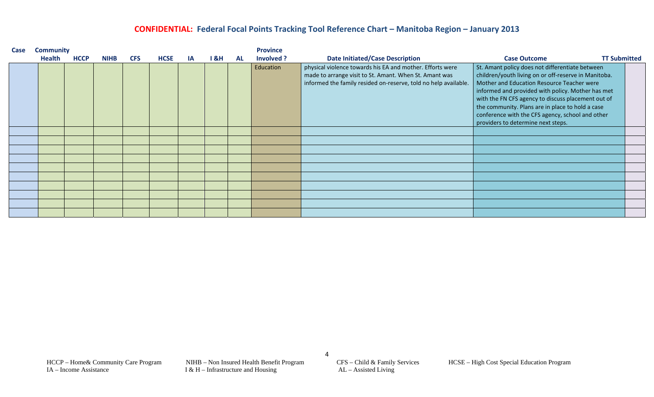| Case | <b>Community</b> |             |             |            |             |           |     |           | <b>Province</b> |                                                                                                                                                                                        |                                                                                                                                                                                                                                                                                                                                                                                                                |  |  |  |
|------|------------------|-------------|-------------|------------|-------------|-----------|-----|-----------|-----------------|----------------------------------------------------------------------------------------------------------------------------------------------------------------------------------------|----------------------------------------------------------------------------------------------------------------------------------------------------------------------------------------------------------------------------------------------------------------------------------------------------------------------------------------------------------------------------------------------------------------|--|--|--|
|      | <b>Health</b>    | <b>HCCP</b> | <b>NIHB</b> | <b>CFS</b> | <b>HCSE</b> | <b>IA</b> | 18H | <b>AL</b> | Involved ?      | <b>Date Initiated/Case Description</b>                                                                                                                                                 | <b>TT Submitted</b><br><b>Case Outcome</b>                                                                                                                                                                                                                                                                                                                                                                     |  |  |  |
|      |                  |             |             |            |             |           |     |           | Education       | physical violence towards his EA and mother. Efforts were<br>made to arrange visit to St. Amant. When St. Amant was<br>informed the family resided on-reserve, told no help available. | St. Amant policy does not differentiate between<br>children/youth living on or off-reserve in Manitoba.<br>Mother and Education Resource Teacher were<br>informed and provided with policy. Mother has met<br>with the FN CFS agency to discuss placement out of<br>the community. Plans are in place to hold a case<br>conference with the CFS agency, school and other<br>providers to determine next steps. |  |  |  |
|      |                  |             |             |            |             |           |     |           |                 |                                                                                                                                                                                        |                                                                                                                                                                                                                                                                                                                                                                                                                |  |  |  |
|      |                  |             |             |            |             |           |     |           |                 |                                                                                                                                                                                        |                                                                                                                                                                                                                                                                                                                                                                                                                |  |  |  |
|      |                  |             |             |            |             |           |     |           |                 |                                                                                                                                                                                        |                                                                                                                                                                                                                                                                                                                                                                                                                |  |  |  |
|      |                  |             |             |            |             |           |     |           |                 |                                                                                                                                                                                        |                                                                                                                                                                                                                                                                                                                                                                                                                |  |  |  |
|      |                  |             |             |            |             |           |     |           |                 |                                                                                                                                                                                        |                                                                                                                                                                                                                                                                                                                                                                                                                |  |  |  |
|      |                  |             |             |            |             |           |     |           |                 |                                                                                                                                                                                        |                                                                                                                                                                                                                                                                                                                                                                                                                |  |  |  |
|      |                  |             |             |            |             |           |     |           |                 |                                                                                                                                                                                        |                                                                                                                                                                                                                                                                                                                                                                                                                |  |  |  |
|      |                  |             |             |            |             |           |     |           |                 |                                                                                                                                                                                        |                                                                                                                                                                                                                                                                                                                                                                                                                |  |  |  |
|      |                  |             |             |            |             |           |     |           |                 |                                                                                                                                                                                        |                                                                                                                                                                                                                                                                                                                                                                                                                |  |  |  |
|      |                  |             |             |            |             |           |     |           |                 |                                                                                                                                                                                        |                                                                                                                                                                                                                                                                                                                                                                                                                |  |  |  |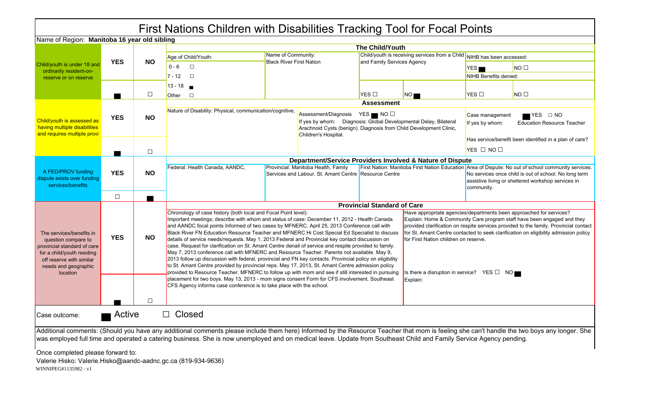|                                                                                                                                                                              |            |              | First Nations Children with Disabilities Tracking Tool for Focal Points                                                                                                                                                                                                                                                                                           |                                                                                                                                                                                                                                                                                                                                                                                                                                                                                                                                                                                                                                                                                                                                                                                                                                                                                                                                                                                                                                                                                                                                                                                                                                                                                                                                                                                                                                                                      |                                                                                                                                                                       |                            |                                                           |                                                                                     |                                                                                                                                                                                                                    |  |  |
|------------------------------------------------------------------------------------------------------------------------------------------------------------------------------|------------|--------------|-------------------------------------------------------------------------------------------------------------------------------------------------------------------------------------------------------------------------------------------------------------------------------------------------------------------------------------------------------------------|----------------------------------------------------------------------------------------------------------------------------------------------------------------------------------------------------------------------------------------------------------------------------------------------------------------------------------------------------------------------------------------------------------------------------------------------------------------------------------------------------------------------------------------------------------------------------------------------------------------------------------------------------------------------------------------------------------------------------------------------------------------------------------------------------------------------------------------------------------------------------------------------------------------------------------------------------------------------------------------------------------------------------------------------------------------------------------------------------------------------------------------------------------------------------------------------------------------------------------------------------------------------------------------------------------------------------------------------------------------------------------------------------------------------------------------------------------------------|-----------------------------------------------------------------------------------------------------------------------------------------------------------------------|----------------------------|-----------------------------------------------------------|-------------------------------------------------------------------------------------|--------------------------------------------------------------------------------------------------------------------------------------------------------------------------------------------------------------------|--|--|
| Name of Region: Manitoba 16 year old sibling                                                                                                                                 |            |              |                                                                                                                                                                                                                                                                                                                                                                   |                                                                                                                                                                                                                                                                                                                                                                                                                                                                                                                                                                                                                                                                                                                                                                                                                                                                                                                                                                                                                                                                                                                                                                                                                                                                                                                                                                                                                                                                      |                                                                                                                                                                       |                            |                                                           |                                                                                     |                                                                                                                                                                                                                    |  |  |
|                                                                                                                                                                              |            |              |                                                                                                                                                                                                                                                                                                                                                                   |                                                                                                                                                                                                                                                                                                                                                                                                                                                                                                                                                                                                                                                                                                                                                                                                                                                                                                                                                                                                                                                                                                                                                                                                                                                                                                                                                                                                                                                                      |                                                                                                                                                                       | The Child/Youth            |                                                           |                                                                                     |                                                                                                                                                                                                                    |  |  |
|                                                                                                                                                                              | <b>YES</b> | <b>NO</b>    | Age of Child/Youth:                                                                                                                                                                                                                                                                                                                                               | Name of Community:<br><b>Black River First Nation</b>                                                                                                                                                                                                                                                                                                                                                                                                                                                                                                                                                                                                                                                                                                                                                                                                                                                                                                                                                                                                                                                                                                                                                                                                                                                                                                                                                                                                                |                                                                                                                                                                       | and Family Services Agency | Child/youth is receiving services from a Child            | NIHB has been accessed:                                                             |                                                                                                                                                                                                                    |  |  |
| Child/youth is under 18 and<br>ordinarily resident-on-                                                                                                                       |            |              | $0 - 6$<br>$\Box$                                                                                                                                                                                                                                                                                                                                                 |                                                                                                                                                                                                                                                                                                                                                                                                                                                                                                                                                                                                                                                                                                                                                                                                                                                                                                                                                                                                                                                                                                                                                                                                                                                                                                                                                                                                                                                                      |                                                                                                                                                                       |                            |                                                           | YES                                                                                 | NO <sub>1</sub>                                                                                                                                                                                                    |  |  |
| reserve or on reserve                                                                                                                                                        |            |              | $7 - 12$<br>$\Box$                                                                                                                                                                                                                                                                                                                                                |                                                                                                                                                                                                                                                                                                                                                                                                                                                                                                                                                                                                                                                                                                                                                                                                                                                                                                                                                                                                                                                                                                                                                                                                                                                                                                                                                                                                                                                                      |                                                                                                                                                                       |                            |                                                           | NIHB Benefits denied:                                                               |                                                                                                                                                                                                                    |  |  |
|                                                                                                                                                                              |            |              | $13 - 18$                                                                                                                                                                                                                                                                                                                                                         |                                                                                                                                                                                                                                                                                                                                                                                                                                                                                                                                                                                                                                                                                                                                                                                                                                                                                                                                                                                                                                                                                                                                                                                                                                                                                                                                                                                                                                                                      |                                                                                                                                                                       |                            |                                                           |                                                                                     |                                                                                                                                                                                                                    |  |  |
|                                                                                                                                                                              |            | $\Box$       | $\Box$<br>Other                                                                                                                                                                                                                                                                                                                                                   |                                                                                                                                                                                                                                                                                                                                                                                                                                                                                                                                                                                                                                                                                                                                                                                                                                                                                                                                                                                                                                                                                                                                                                                                                                                                                                                                                                                                                                                                      |                                                                                                                                                                       | $YES \Box$                 | NO                                                        | YES □                                                                               | NO <sub>1</sub>                                                                                                                                                                                                    |  |  |
| Child/youth is assessed as<br>having multiple disabilities                                                                                                                   | <b>YES</b> | <b>NO</b>    | Nature of Disability: Physical, communication/cognitive,                                                                                                                                                                                                                                                                                                          |                                                                                                                                                                                                                                                                                                                                                                                                                                                                                                                                                                                                                                                                                                                                                                                                                                                                                                                                                                                                                                                                                                                                                                                                                                                                                                                                                                                                                                                                      | Assessment/Diagnosis YES NO<br>If yes by whom: Diagnosis: Global Developmental Delay, Bilateral<br>Arachnoid Cysts (benign). Diagnosis from Child Development Clinic, | <b>Assessment</b>          |                                                           | YES □ NO<br>Case management<br><b>Education Resource Teacher</b><br>If yes by whom: |                                                                                                                                                                                                                    |  |  |
| and requires multiple provi                                                                                                                                                  |            |              |                                                                                                                                                                                                                                                                                                                                                                   |                                                                                                                                                                                                                                                                                                                                                                                                                                                                                                                                                                                                                                                                                                                                                                                                                                                                                                                                                                                                                                                                                                                                                                                                                                                                                                                                                                                                                                                                      | Children's Hospital.                                                                                                                                                  |                            |                                                           | Has service/benefit been identified in a plan of care?                              |                                                                                                                                                                                                                    |  |  |
|                                                                                                                                                                              |            | $\Box$       |                                                                                                                                                                                                                                                                                                                                                                   |                                                                                                                                                                                                                                                                                                                                                                                                                                                                                                                                                                                                                                                                                                                                                                                                                                                                                                                                                                                                                                                                                                                                                                                                                                                                                                                                                                                                                                                                      |                                                                                                                                                                       |                            |                                                           | $YES \Box NO \Box$                                                                  |                                                                                                                                                                                                                    |  |  |
|                                                                                                                                                                              |            |              |                                                                                                                                                                                                                                                                                                                                                                   |                                                                                                                                                                                                                                                                                                                                                                                                                                                                                                                                                                                                                                                                                                                                                                                                                                                                                                                                                                                                                                                                                                                                                                                                                                                                                                                                                                                                                                                                      |                                                                                                                                                                       |                            | Department/Service Providers Involved & Nature of Dispute |                                                                                     |                                                                                                                                                                                                                    |  |  |
| A FED/PROV funding<br>dispute exists over funding<br>services/benefits                                                                                                       | <b>YES</b> | <b>NO</b>    | Federal: Health Canada, AANDC,                                                                                                                                                                                                                                                                                                                                    |                                                                                                                                                                                                                                                                                                                                                                                                                                                                                                                                                                                                                                                                                                                                                                                                                                                                                                                                                                                                                                                                                                                                                                                                                                                                                                                                                                                                                                                                      | Provincial: Manitoba Health, Family<br>Services and Labour, St. Amant Centre Resource Centre                                                                          |                            |                                                           | community.                                                                          | First Nation: Manitoba First Nation Education Area of Dispute: No out of school community services.<br>No services once child is out of school. No long term<br>assistive living or sheltered workshop services in |  |  |
|                                                                                                                                                                              | $\Box$     | $\mathbf{r}$ |                                                                                                                                                                                                                                                                                                                                                                   |                                                                                                                                                                                                                                                                                                                                                                                                                                                                                                                                                                                                                                                                                                                                                                                                                                                                                                                                                                                                                                                                                                                                                                                                                                                                                                                                                                                                                                                                      |                                                                                                                                                                       |                            |                                                           |                                                                                     |                                                                                                                                                                                                                    |  |  |
| The services/benefits in<br>question compare to<br>provincial standard of care<br>for a child/youth residing<br>off reserve with similar<br>needs and geographic<br>location | <b>YES</b> | <b>NO</b>    |                                                                                                                                                                                                                                                                                                                                                                   | <b>Provincial Standard of Care</b><br>Chronology of case history (both local and Focal Point level):<br>Have appropriate agencies/departments been approached for services?<br>Explain: Home & Community Care program staff have been engaged and they<br>Important meetings; describe with whom and status of case: December 11, 2012 - Health Canada<br>provided clarification on respite services provided to the family. Provincial contact<br>and AANDC focal points Informed of two cases by MFNERC. April 25, 2013 Conference call with<br>for St. Amant Centre contacted to seek clarification on eligibility admission policy<br>Black River FN Education Resource Teacher and MFNERC Hi Cost Special Ed Specialist to discuss<br>details of service needs/requests. May 1, 2013 Federal and Provincial key contact discussion on<br>for First Nation children on reserve.<br>case. Request for clarification on St. Amant Centre denail of service and respite provided to family.<br>May 7, 2013 conference call with MFNERC and Resource Teacher. Parents not available. May 9,<br>2013 follow up discussion with federal, provincial and FN key contacts. Provincial policy on eligibility<br>to St. Amant Centre provided by provincial reps. May 17, 2013, St. Amant Centre admission policy<br>provided to Resource Teacher. MFNERC to follow up with mom and see if still interested in pursuing<br>Is there a disruption in service? YES $\Box$ NO |                                                                                                                                                                       |                            |                                                           |                                                                                     |                                                                                                                                                                                                                    |  |  |
|                                                                                                                                                                              |            | $\Box$       | placement for two boys. May 13, 2013 - mom signs consent Form for CFS involvement. Southeast<br>CFS Agency informs case conference is to take place with the school.                                                                                                                                                                                              |                                                                                                                                                                                                                                                                                                                                                                                                                                                                                                                                                                                                                                                                                                                                                                                                                                                                                                                                                                                                                                                                                                                                                                                                                                                                                                                                                                                                                                                                      |                                                                                                                                                                       | Explain:                   |                                                           |                                                                                     |                                                                                                                                                                                                                    |  |  |
| Case outcome:                                                                                                                                                                | Active     |              | <b>Closed</b>                                                                                                                                                                                                                                                                                                                                                     |                                                                                                                                                                                                                                                                                                                                                                                                                                                                                                                                                                                                                                                                                                                                                                                                                                                                                                                                                                                                                                                                                                                                                                                                                                                                                                                                                                                                                                                                      |                                                                                                                                                                       |                            |                                                           |                                                                                     |                                                                                                                                                                                                                    |  |  |
| Once completed please forward to:<br>Valerie Hisko: Valerie.Hisko@aandc-aadnc.gc.ca (819-934-9636)<br>WINNIPEG#1135982 - v1                                                  |            |              | Additional comments: (Should you have any additional comments please include them here) Informed by the Resource Teacher that mom is feeling she can't handle the two boys any longer. She<br>was employed full time and operated a catering business. She is now unemployed and on medical leave. Update from Southeast Child and Family Service Agency pending. |                                                                                                                                                                                                                                                                                                                                                                                                                                                                                                                                                                                                                                                                                                                                                                                                                                                                                                                                                                                                                                                                                                                                                                                                                                                                                                                                                                                                                                                                      |                                                                                                                                                                       |                            |                                                           |                                                                                     |                                                                                                                                                                                                                    |  |  |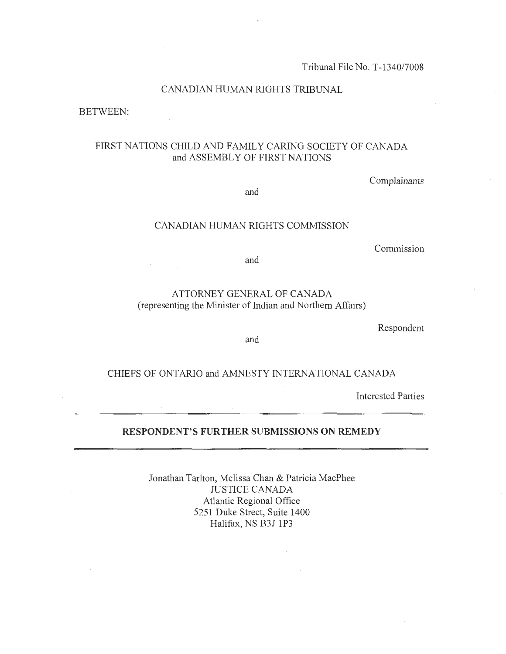Tribunal File No. T-1340/7008

## CANADIAN HUMAN RIGHTS TRIBUNAL

BETWEEN:

 $\mathcal{L}$ 

## FIRST NATIONS CHILD AND FAMILY CARING SOCIETY OF CANADA and ASSEMBLY OF FIRST NATIONS

Complainants

and

## CANADIAN HUMAN RIGHTS COMMISSION

Commission

and

## ATTORNEY GENERAL OF CANADA (representing the Minister of Indian and Northern Affairs)

Respondent

and

## CHIEFS OF ONTARIO and AMNESTY INTERNATIONAL CANADA

Interested Parties

## **RESPONDENT'S FURTHER SUBMISSIONS ON REMEDY**

Jonathan Tarlton, Melissa Chan & Patricia MacPhee JUSTICE CANADA Atlantic Regional Office 5251 Duke Street, Suite 1400 Halifax, NS B3J 1P3